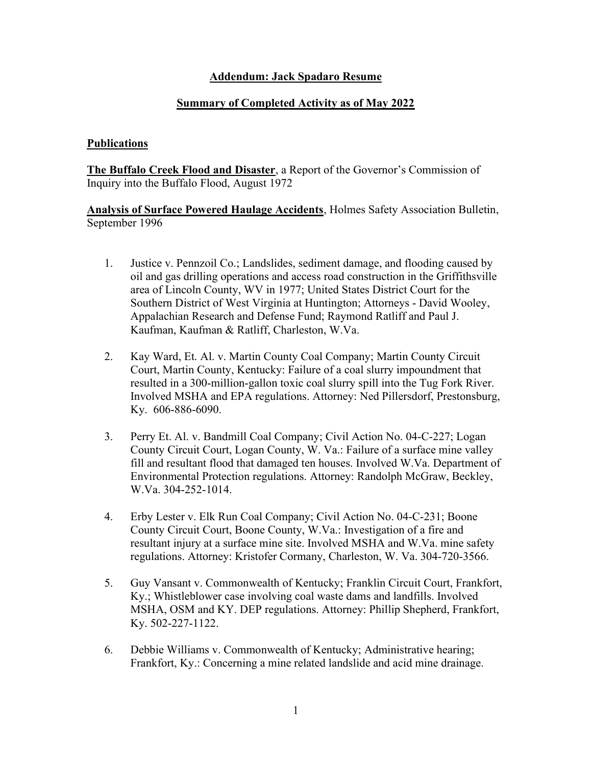## Addendum: Jack Spadaro Resume

## Summary of Completed Activity as of May 2022

## **Publications**

The Buffalo Creek Flood and Disaster, a Report of the Governor's Commission of Inquiry into the Buffalo Flood, August 1972

Analysis of Surface Powered Haulage Accidents, Holmes Safety Association Bulletin, September 1996

- 1. Justice v. Pennzoil Co.; Landslides, sediment damage, and flooding caused by oil and gas drilling operations and access road construction in the Griffithsville area of Lincoln County, WV in 1977; United States District Court for the Southern District of West Virginia at Huntington; Attorneys - David Wooley, Appalachian Research and Defense Fund; Raymond Ratliff and Paul J. Kaufman, Kaufman & Ratliff, Charleston, W.Va.
- 2. Kay Ward, Et. Al. v. Martin County Coal Company; Martin County Circuit Court, Martin County, Kentucky: Failure of a coal slurry impoundment that resulted in a 300-million-gallon toxic coal slurry spill into the Tug Fork River. Involved MSHA and EPA regulations. Attorney: Ned Pillersdorf, Prestonsburg, Ky. 606-886-6090.
- 3. Perry Et. Al. v. Bandmill Coal Company; Civil Action No. 04-C-227; Logan County Circuit Court, Logan County, W. Va.: Failure of a surface mine valley fill and resultant flood that damaged ten houses. Involved W.Va. Department of Environmental Protection regulations. Attorney: Randolph McGraw, Beckley, W.Va. 304-252-1014.
- 4. Erby Lester v. Elk Run Coal Company; Civil Action No. 04-C-231; Boone County Circuit Court, Boone County, W.Va.: Investigation of a fire and resultant injury at a surface mine site. Involved MSHA and W.Va. mine safety regulations. Attorney: Kristofer Cormany, Charleston, W. Va. 304-720-3566.
- 5. Guy Vansant v. Commonwealth of Kentucky; Franklin Circuit Court, Frankfort, Ky.; Whistleblower case involving coal waste dams and landfills. Involved MSHA, OSM and KY. DEP regulations. Attorney: Phillip Shepherd, Frankfort, Ky. 502-227-1122.
- 6. Debbie Williams v. Commonwealth of Kentucky; Administrative hearing; Frankfort, Ky.: Concerning a mine related landslide and acid mine drainage.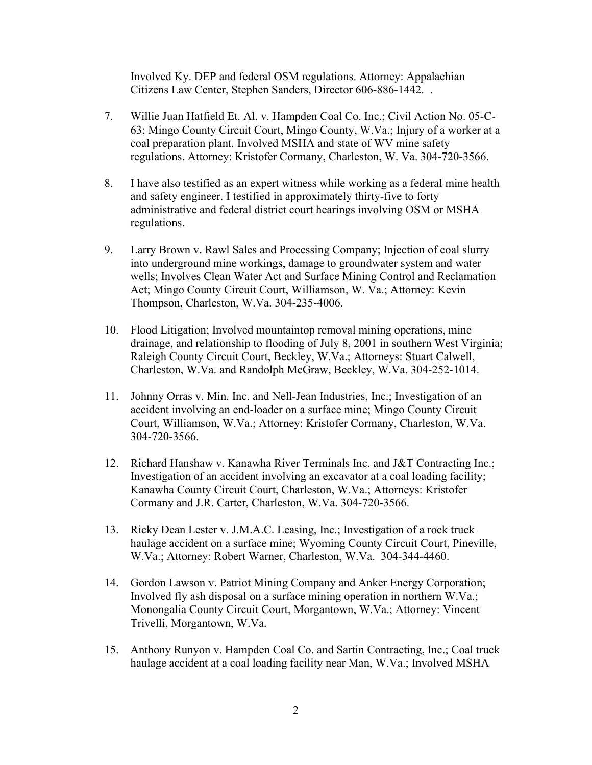Involved Ky. DEP and federal OSM regulations. Attorney: Appalachian Citizens Law Center, Stephen Sanders, Director 606-886-1442. .

- 7. Willie Juan Hatfield Et. Al. v. Hampden Coal Co. Inc.; Civil Action No. 05-C-63; Mingo County Circuit Court, Mingo County, W.Va.; Injury of a worker at a coal preparation plant. Involved MSHA and state of WV mine safety regulations. Attorney: Kristofer Cormany, Charleston, W. Va. 304-720-3566.
- 8. I have also testified as an expert witness while working as a federal mine health and safety engineer. I testified in approximately thirty-five to forty administrative and federal district court hearings involving OSM or MSHA regulations.
- 9. Larry Brown v. Rawl Sales and Processing Company; Injection of coal slurry into underground mine workings, damage to groundwater system and water wells; Involves Clean Water Act and Surface Mining Control and Reclamation Act; Mingo County Circuit Court, Williamson, W. Va.; Attorney: Kevin Thompson, Charleston, W.Va. 304-235-4006.
- 10. Flood Litigation; Involved mountaintop removal mining operations, mine drainage, and relationship to flooding of July 8, 2001 in southern West Virginia; Raleigh County Circuit Court, Beckley, W.Va.; Attorneys: Stuart Calwell, Charleston, W.Va. and Randolph McGraw, Beckley, W.Va. 304-252-1014.
- 11. Johnny Orras v. Min. Inc. and Nell-Jean Industries, Inc.; Investigation of an accident involving an end-loader on a surface mine; Mingo County Circuit Court, Williamson, W.Va.; Attorney: Kristofer Cormany, Charleston, W.Va. 304-720-3566.
- 12. Richard Hanshaw v. Kanawha River Terminals Inc. and J&T Contracting Inc.; Investigation of an accident involving an excavator at a coal loading facility; Kanawha County Circuit Court, Charleston, W.Va.; Attorneys: Kristofer Cormany and J.R. Carter, Charleston, W.Va. 304-720-3566.
- 13. Ricky Dean Lester v. J.M.A.C. Leasing, Inc.; Investigation of a rock truck haulage accident on a surface mine; Wyoming County Circuit Court, Pineville, W.Va.; Attorney: Robert Warner, Charleston, W.Va. 304-344-4460.
- 14. Gordon Lawson v. Patriot Mining Company and Anker Energy Corporation; Involved fly ash disposal on a surface mining operation in northern W.Va.; Monongalia County Circuit Court, Morgantown, W.Va.; Attorney: Vincent Trivelli, Morgantown, W.Va.
- 15. Anthony Runyon v. Hampden Coal Co. and Sartin Contracting, Inc.; Coal truck haulage accident at a coal loading facility near Man, W.Va.; Involved MSHA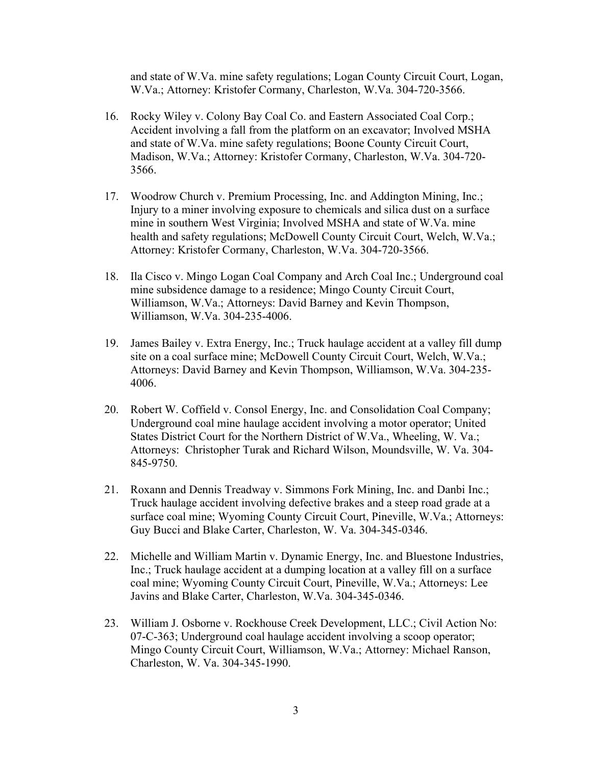and state of W.Va. mine safety regulations; Logan County Circuit Court, Logan, W.Va.; Attorney: Kristofer Cormany, Charleston, W.Va. 304-720-3566.

- 16. Rocky Wiley v. Colony Bay Coal Co. and Eastern Associated Coal Corp.; Accident involving a fall from the platform on an excavator; Involved MSHA and state of W.Va. mine safety regulations; Boone County Circuit Court, Madison, W.Va.; Attorney: Kristofer Cormany, Charleston, W.Va. 304-720- 3566.
- 17. Woodrow Church v. Premium Processing, Inc. and Addington Mining, Inc.; Injury to a miner involving exposure to chemicals and silica dust on a surface mine in southern West Virginia; Involved MSHA and state of W.Va. mine health and safety regulations; McDowell County Circuit Court, Welch, W.Va.; Attorney: Kristofer Cormany, Charleston, W.Va. 304-720-3566.
- 18. Ila Cisco v. Mingo Logan Coal Company and Arch Coal Inc.; Underground coal mine subsidence damage to a residence; Mingo County Circuit Court, Williamson, W.Va.; Attorneys: David Barney and Kevin Thompson, Williamson, W.Va. 304-235-4006.
- 19. James Bailey v. Extra Energy, Inc.; Truck haulage accident at a valley fill dump site on a coal surface mine; McDowell County Circuit Court, Welch, W.Va.; Attorneys: David Barney and Kevin Thompson, Williamson, W.Va. 304-235- 4006.
- 20. Robert W. Coffield v. Consol Energy, Inc. and Consolidation Coal Company; Underground coal mine haulage accident involving a motor operator; United States District Court for the Northern District of W.Va., Wheeling, W. Va.; Attorneys: Christopher Turak and Richard Wilson, Moundsville, W. Va. 304- 845-9750.
- 21. Roxann and Dennis Treadway v. Simmons Fork Mining, Inc. and Danbi Inc.; Truck haulage accident involving defective brakes and a steep road grade at a surface coal mine; Wyoming County Circuit Court, Pineville, W.Va.; Attorneys: Guy Bucci and Blake Carter, Charleston, W. Va. 304-345-0346.
- 22. Michelle and William Martin v. Dynamic Energy, Inc. and Bluestone Industries, Inc.; Truck haulage accident at a dumping location at a valley fill on a surface coal mine; Wyoming County Circuit Court, Pineville, W.Va.; Attorneys: Lee Javins and Blake Carter, Charleston, W.Va. 304-345-0346.
- 23. William J. Osborne v. Rockhouse Creek Development, LLC.; Civil Action No: 07-C-363; Underground coal haulage accident involving a scoop operator; Mingo County Circuit Court, Williamson, W.Va.; Attorney: Michael Ranson, Charleston, W. Va. 304-345-1990.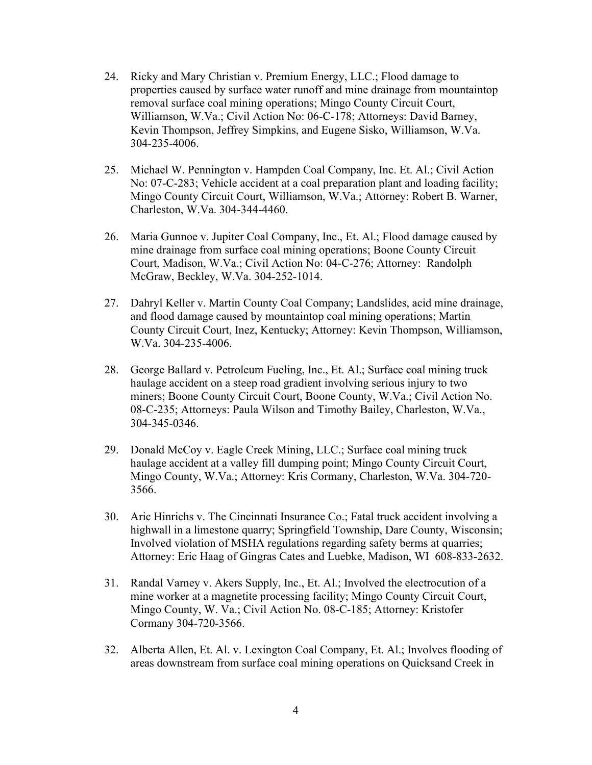- 24. Ricky and Mary Christian v. Premium Energy, LLC.; Flood damage to properties caused by surface water runoff and mine drainage from mountaintop removal surface coal mining operations; Mingo County Circuit Court, Williamson, W.Va.; Civil Action No: 06-C-178; Attorneys: David Barney, Kevin Thompson, Jeffrey Simpkins, and Eugene Sisko, Williamson, W.Va. 304-235-4006.
- 25. Michael W. Pennington v. Hampden Coal Company, Inc. Et. Al.; Civil Action No: 07-C-283; Vehicle accident at a coal preparation plant and loading facility; Mingo County Circuit Court, Williamson, W.Va.; Attorney: Robert B. Warner, Charleston, W.Va. 304-344-4460.
- 26. Maria Gunnoe v. Jupiter Coal Company, Inc., Et. Al.; Flood damage caused by mine drainage from surface coal mining operations; Boone County Circuit Court, Madison, W.Va.; Civil Action No: 04-C-276; Attorney: Randolph McGraw, Beckley, W.Va. 304-252-1014.
- 27. Dahryl Keller v. Martin County Coal Company; Landslides, acid mine drainage, and flood damage caused by mountaintop coal mining operations; Martin County Circuit Court, Inez, Kentucky; Attorney: Kevin Thompson, Williamson, W.Va. 304-235-4006.
- 28. George Ballard v. Petroleum Fueling, Inc., Et. Al.; Surface coal mining truck haulage accident on a steep road gradient involving serious injury to two miners; Boone County Circuit Court, Boone County, W.Va.; Civil Action No. 08-C-235; Attorneys: Paula Wilson and Timothy Bailey, Charleston, W.Va., 304-345-0346.
- 29. Donald McCoy v. Eagle Creek Mining, LLC.; Surface coal mining truck haulage accident at a valley fill dumping point; Mingo County Circuit Court, Mingo County, W.Va.; Attorney: Kris Cormany, Charleston, W.Va. 304-720- 3566.
- 30. Aric Hinrichs v. The Cincinnati Insurance Co.; Fatal truck accident involving a highwall in a limestone quarry; Springfield Township, Dare County, Wisconsin; Involved violation of MSHA regulations regarding safety berms at quarries; Attorney: Eric Haag of Gingras Cates and Luebke, Madison, WI 608-833-2632.
- 31. Randal Varney v. Akers Supply, Inc., Et. Al.; Involved the electrocution of a mine worker at a magnetite processing facility; Mingo County Circuit Court, Mingo County, W. Va.; Civil Action No. 08-C-185; Attorney: Kristofer Cormany 304-720-3566.
- 32. Alberta Allen, Et. Al. v. Lexington Coal Company, Et. Al.; Involves flooding of areas downstream from surface coal mining operations on Quicksand Creek in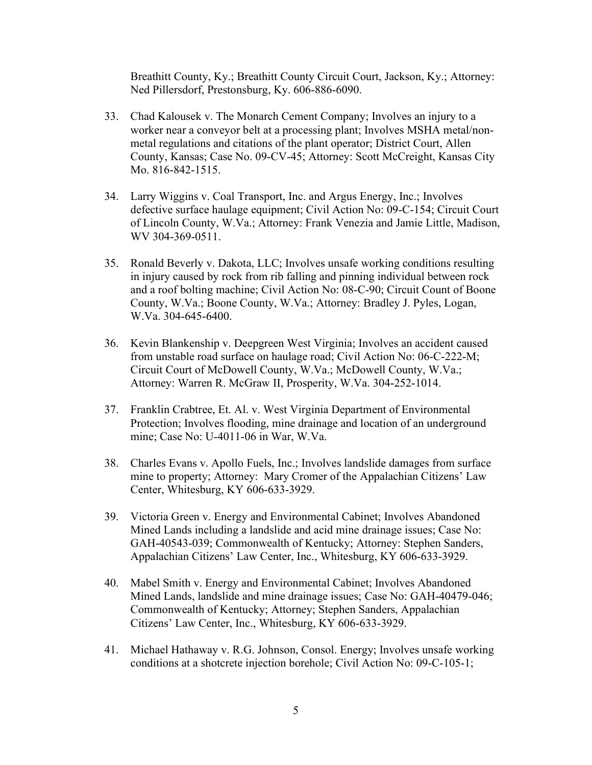Breathitt County, Ky.; Breathitt County Circuit Court, Jackson, Ky.; Attorney: Ned Pillersdorf, Prestonsburg, Ky. 606-886-6090.

- 33. Chad Kalousek v. The Monarch Cement Company; Involves an injury to a worker near a conveyor belt at a processing plant; Involves MSHA metal/nonmetal regulations and citations of the plant operator; District Court, Allen County, Kansas; Case No. 09-CV-45; Attorney: Scott McCreight, Kansas City Mo. 816-842-1515.
- 34. Larry Wiggins v. Coal Transport, Inc. and Argus Energy, Inc.; Involves defective surface haulage equipment; Civil Action No: 09-C-154; Circuit Court of Lincoln County, W.Va.; Attorney: Frank Venezia and Jamie Little, Madison, WV 304-369-0511.
- 35. Ronald Beverly v. Dakota, LLC; Involves unsafe working conditions resulting in injury caused by rock from rib falling and pinning individual between rock and a roof bolting machine; Civil Action No: 08-C-90; Circuit Count of Boone County, W.Va.; Boone County, W.Va.; Attorney: Bradley J. Pyles, Logan, W.Va. 304-645-6400.
- 36. Kevin Blankenship v. Deepgreen West Virginia; Involves an accident caused from unstable road surface on haulage road; Civil Action No: 06-C-222-M; Circuit Court of McDowell County, W.Va.; McDowell County, W.Va.; Attorney: Warren R. McGraw II, Prosperity, W.Va. 304-252-1014.
- 37. Franklin Crabtree, Et. Al. v. West Virginia Department of Environmental Protection; Involves flooding, mine drainage and location of an underground mine; Case No: U-4011-06 in War, W.Va.
- 38. Charles Evans v. Apollo Fuels, Inc.; Involves landslide damages from surface mine to property; Attorney: Mary Cromer of the Appalachian Citizens' Law Center, Whitesburg, KY 606-633-3929.
- 39. Victoria Green v. Energy and Environmental Cabinet; Involves Abandoned Mined Lands including a landslide and acid mine drainage issues; Case No: GAH-40543-039; Commonwealth of Kentucky; Attorney: Stephen Sanders, Appalachian Citizens' Law Center, Inc., Whitesburg, KY 606-633-3929.
- 40. Mabel Smith v. Energy and Environmental Cabinet; Involves Abandoned Mined Lands, landslide and mine drainage issues; Case No: GAH-40479-046; Commonwealth of Kentucky; Attorney; Stephen Sanders, Appalachian Citizens' Law Center, Inc., Whitesburg, KY 606-633-3929.
- 41. Michael Hathaway v. R.G. Johnson, Consol. Energy; Involves unsafe working conditions at a shotcrete injection borehole; Civil Action No: 09-C-105-1;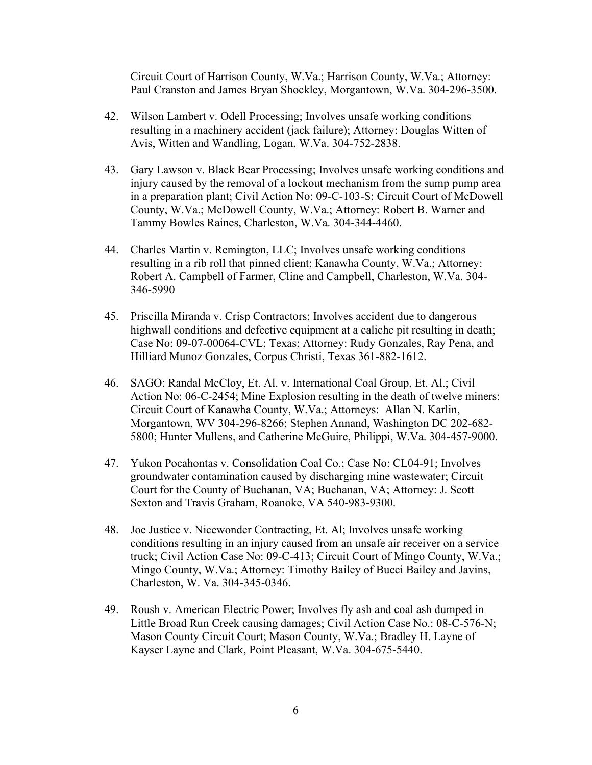Circuit Court of Harrison County, W.Va.; Harrison County, W.Va.; Attorney: Paul Cranston and James Bryan Shockley, Morgantown, W.Va. 304-296-3500.

- 42. Wilson Lambert v. Odell Processing; Involves unsafe working conditions resulting in a machinery accident (jack failure); Attorney: Douglas Witten of Avis, Witten and Wandling, Logan, W.Va. 304-752-2838.
- 43. Gary Lawson v. Black Bear Processing; Involves unsafe working conditions and injury caused by the removal of a lockout mechanism from the sump pump area in a preparation plant; Civil Action No: 09-C-103-S; Circuit Court of McDowell County, W.Va.; McDowell County, W.Va.; Attorney: Robert B. Warner and Tammy Bowles Raines, Charleston, W.Va. 304-344-4460.
- 44. Charles Martin v. Remington, LLC; Involves unsafe working conditions resulting in a rib roll that pinned client; Kanawha County, W.Va.; Attorney: Robert A. Campbell of Farmer, Cline and Campbell, Charleston, W.Va. 304- 346-5990
- 45. Priscilla Miranda v. Crisp Contractors; Involves accident due to dangerous highwall conditions and defective equipment at a caliche pit resulting in death; Case No: 09-07-00064-CVL; Texas; Attorney: Rudy Gonzales, Ray Pena, and Hilliard Munoz Gonzales, Corpus Christi, Texas 361-882-1612.
- 46. SAGO: Randal McCloy, Et. Al. v. International Coal Group, Et. Al.; Civil Action No: 06-C-2454; Mine Explosion resulting in the death of twelve miners: Circuit Court of Kanawha County, W.Va.; Attorneys: Allan N. Karlin, Morgantown, WV 304-296-8266; Stephen Annand, Washington DC 202-682- 5800; Hunter Mullens, and Catherine McGuire, Philippi, W.Va. 304-457-9000.
- 47. Yukon Pocahontas v. Consolidation Coal Co.; Case No: CL04-91; Involves groundwater contamination caused by discharging mine wastewater; Circuit Court for the County of Buchanan, VA; Buchanan, VA; Attorney: J. Scott Sexton and Travis Graham, Roanoke, VA 540-983-9300.
- 48. Joe Justice v. Nicewonder Contracting, Et. Al; Involves unsafe working conditions resulting in an injury caused from an unsafe air receiver on a service truck; Civil Action Case No: 09-C-413; Circuit Court of Mingo County, W.Va.; Mingo County, W.Va.; Attorney: Timothy Bailey of Bucci Bailey and Javins, Charleston, W. Va. 304-345-0346.
- 49. Roush v. American Electric Power; Involves fly ash and coal ash dumped in Little Broad Run Creek causing damages; Civil Action Case No.: 08-C-576-N; Mason County Circuit Court; Mason County, W.Va.; Bradley H. Layne of Kayser Layne and Clark, Point Pleasant, W.Va. 304-675-5440.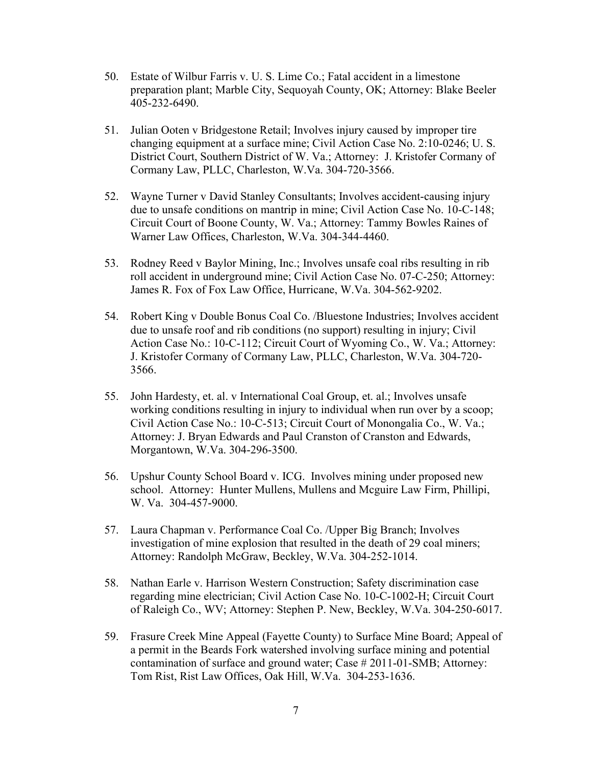- 50. Estate of Wilbur Farris v. U. S. Lime Co.; Fatal accident in a limestone preparation plant; Marble City, Sequoyah County, OK; Attorney: Blake Beeler 405-232-6490.
- 51. Julian Ooten v Bridgestone Retail; Involves injury caused by improper tire changing equipment at a surface mine; Civil Action Case No. 2:10-0246; U. S. District Court, Southern District of W. Va.; Attorney: J. Kristofer Cormany of Cormany Law, PLLC, Charleston, W.Va. 304-720-3566.
- 52. Wayne Turner v David Stanley Consultants; Involves accident-causing injury due to unsafe conditions on mantrip in mine; Civil Action Case No. 10-C-148; Circuit Court of Boone County, W. Va.; Attorney: Tammy Bowles Raines of Warner Law Offices, Charleston, W.Va. 304-344-4460.
- 53. Rodney Reed v Baylor Mining, Inc.; Involves unsafe coal ribs resulting in rib roll accident in underground mine; Civil Action Case No. 07-C-250; Attorney: James R. Fox of Fox Law Office, Hurricane, W.Va. 304-562-9202.
- 54. Robert King v Double Bonus Coal Co. /Bluestone Industries; Involves accident due to unsafe roof and rib conditions (no support) resulting in injury; Civil Action Case No.: 10-C-112; Circuit Court of Wyoming Co., W. Va.; Attorney: J. Kristofer Cormany of Cormany Law, PLLC, Charleston, W.Va. 304-720- 3566.
- 55. John Hardesty, et. al. v International Coal Group, et. al.; Involves unsafe working conditions resulting in injury to individual when run over by a scoop; Civil Action Case No.: 10-C-513; Circuit Court of Monongalia Co., W. Va.; Attorney: J. Bryan Edwards and Paul Cranston of Cranston and Edwards, Morgantown, W.Va. 304-296-3500.
- 56. Upshur County School Board v. ICG. Involves mining under proposed new school. Attorney: Hunter Mullens, Mullens and Mcguire Law Firm, Phillipi, W. Va. 304-457-9000.
- 57. Laura Chapman v. Performance Coal Co. /Upper Big Branch; Involves investigation of mine explosion that resulted in the death of 29 coal miners; Attorney: Randolph McGraw, Beckley, W.Va. 304-252-1014.
- 58. Nathan Earle v. Harrison Western Construction; Safety discrimination case regarding mine electrician; Civil Action Case No. 10-C-1002-H; Circuit Court of Raleigh Co., WV; Attorney: Stephen P. New, Beckley, W.Va. 304-250-6017.
- 59. Frasure Creek Mine Appeal (Fayette County) to Surface Mine Board; Appeal of a permit in the Beards Fork watershed involving surface mining and potential contamination of surface and ground water; Case # 2011-01-SMB; Attorney: Tom Rist, Rist Law Offices, Oak Hill, W.Va. 304-253-1636.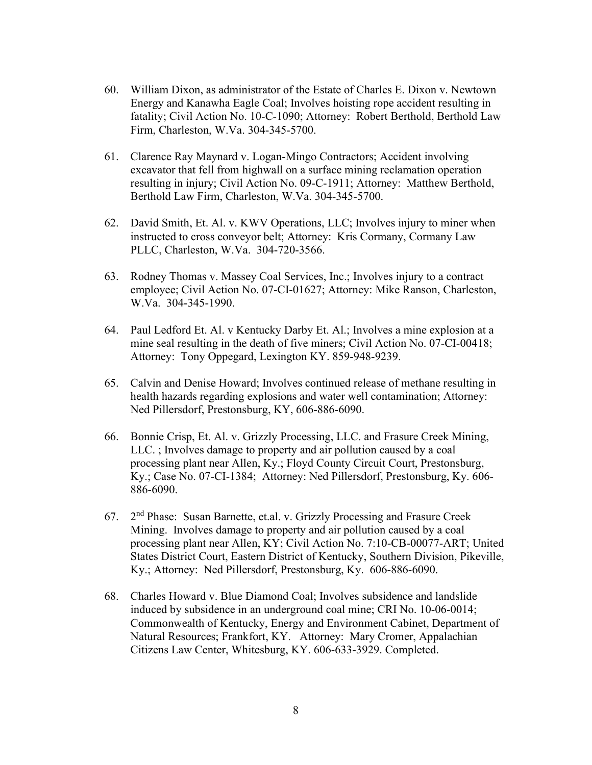- 60. William Dixon, as administrator of the Estate of Charles E. Dixon v. Newtown Energy and Kanawha Eagle Coal; Involves hoisting rope accident resulting in fatality; Civil Action No. 10-C-1090; Attorney: Robert Berthold, Berthold Law Firm, Charleston, W.Va. 304-345-5700.
- 61. Clarence Ray Maynard v. Logan-Mingo Contractors; Accident involving excavator that fell from highwall on a surface mining reclamation operation resulting in injury; Civil Action No. 09-C-1911; Attorney: Matthew Berthold, Berthold Law Firm, Charleston, W.Va. 304-345-5700.
- 62. David Smith, Et. Al. v. KWV Operations, LLC; Involves injury to miner when instructed to cross conveyor belt; Attorney: Kris Cormany, Cormany Law PLLC, Charleston, W.Va. 304-720-3566.
- 63. Rodney Thomas v. Massey Coal Services, Inc.; Involves injury to a contract employee; Civil Action No. 07-CI-01627; Attorney: Mike Ranson, Charleston, W.Va. 304-345-1990.
- 64. Paul Ledford Et. Al. v Kentucky Darby Et. Al.; Involves a mine explosion at a mine seal resulting in the death of five miners; Civil Action No. 07-CI-00418; Attorney: Tony Oppegard, Lexington KY. 859-948-9239.
- 65. Calvin and Denise Howard; Involves continued release of methane resulting in health hazards regarding explosions and water well contamination; Attorney: Ned Pillersdorf, Prestonsburg, KY, 606-886-6090.
- 66. Bonnie Crisp, Et. Al. v. Grizzly Processing, LLC. and Frasure Creek Mining, LLC. ; Involves damage to property and air pollution caused by a coal processing plant near Allen, Ky.; Floyd County Circuit Court, Prestonsburg, Ky.; Case No. 07-CI-1384; Attorney: Ned Pillersdorf, Prestonsburg, Ky. 606- 886-6090.
- 67. 2<sup>nd</sup> Phase: Susan Barnette, et.al. v. Grizzly Processing and Frasure Creek Mining. Involves damage to property and air pollution caused by a coal processing plant near Allen, KY; Civil Action No. 7:10-CB-00077-ART; United States District Court, Eastern District of Kentucky, Southern Division, Pikeville, Ky.; Attorney: Ned Pillersdorf, Prestonsburg, Ky. 606-886-6090.
- 68. Charles Howard v. Blue Diamond Coal; Involves subsidence and landslide induced by subsidence in an underground coal mine; CRI No. 10-06-0014; Commonwealth of Kentucky, Energy and Environment Cabinet, Department of Natural Resources; Frankfort, KY. Attorney: Mary Cromer, Appalachian Citizens Law Center, Whitesburg, KY. 606-633-3929. Completed.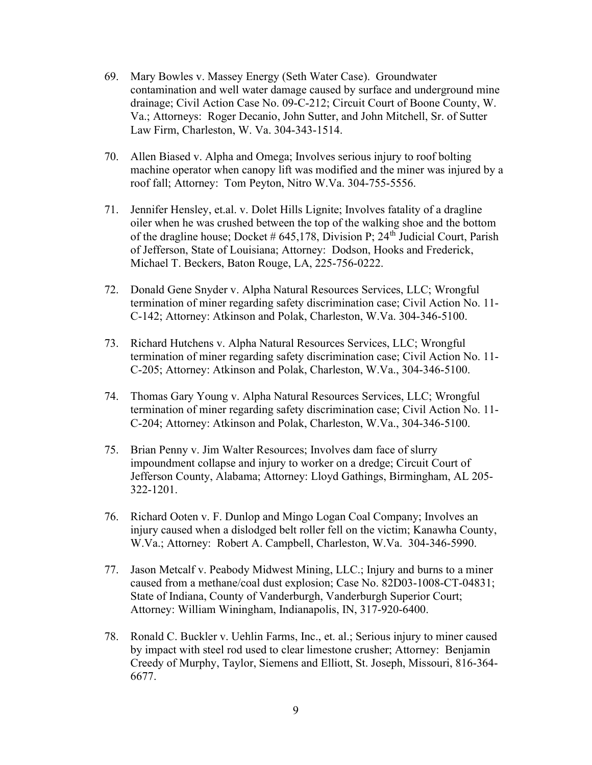- 69. Mary Bowles v. Massey Energy (Seth Water Case). Groundwater contamination and well water damage caused by surface and underground mine drainage; Civil Action Case No. 09-C-212; Circuit Court of Boone County, W. Va.; Attorneys: Roger Decanio, John Sutter, and John Mitchell, Sr. of Sutter Law Firm, Charleston, W. Va. 304-343-1514.
- 70. Allen Biased v. Alpha and Omega; Involves serious injury to roof bolting machine operator when canopy lift was modified and the miner was injured by a roof fall; Attorney: Tom Peyton, Nitro W.Va. 304-755-5556.
- 71. Jennifer Hensley, et.al. v. Dolet Hills Lignite; Involves fatality of a dragline oiler when he was crushed between the top of the walking shoe and the bottom of the dragline house; Docket #  $645,178$ , Division P;  $24<sup>th</sup>$  Judicial Court, Parish of Jefferson, State of Louisiana; Attorney: Dodson, Hooks and Frederick, Michael T. Beckers, Baton Rouge, LA, 225-756-0222.
- 72. Donald Gene Snyder v. Alpha Natural Resources Services, LLC; Wrongful termination of miner regarding safety discrimination case; Civil Action No. 11- C-142; Attorney: Atkinson and Polak, Charleston, W.Va. 304-346-5100.
- 73. Richard Hutchens v. Alpha Natural Resources Services, LLC; Wrongful termination of miner regarding safety discrimination case; Civil Action No. 11- C-205; Attorney: Atkinson and Polak, Charleston, W.Va., 304-346-5100.
- 74. Thomas Gary Young v. Alpha Natural Resources Services, LLC; Wrongful termination of miner regarding safety discrimination case; Civil Action No. 11- C-204; Attorney: Atkinson and Polak, Charleston, W.Va., 304-346-5100.
- 75. Brian Penny v. Jim Walter Resources; Involves dam face of slurry impoundment collapse and injury to worker on a dredge; Circuit Court of Jefferson County, Alabama; Attorney: Lloyd Gathings, Birmingham, AL 205- 322-1201.
- 76. Richard Ooten v. F. Dunlop and Mingo Logan Coal Company; Involves an injury caused when a dislodged belt roller fell on the victim; Kanawha County, W.Va.; Attorney: Robert A. Campbell, Charleston, W.Va. 304-346-5990.
- 77. Jason Metcalf v. Peabody Midwest Mining, LLC.; Injury and burns to a miner caused from a methane/coal dust explosion; Case No. 82D03-1008-CT-04831; State of Indiana, County of Vanderburgh, Vanderburgh Superior Court; Attorney: William Winingham, Indianapolis, IN, 317-920-6400.
- 78. Ronald C. Buckler v. Uehlin Farms, Inc., et. al.; Serious injury to miner caused by impact with steel rod used to clear limestone crusher; Attorney: Benjamin Creedy of Murphy, Taylor, Siemens and Elliott, St. Joseph, Missouri, 816-364- 6677.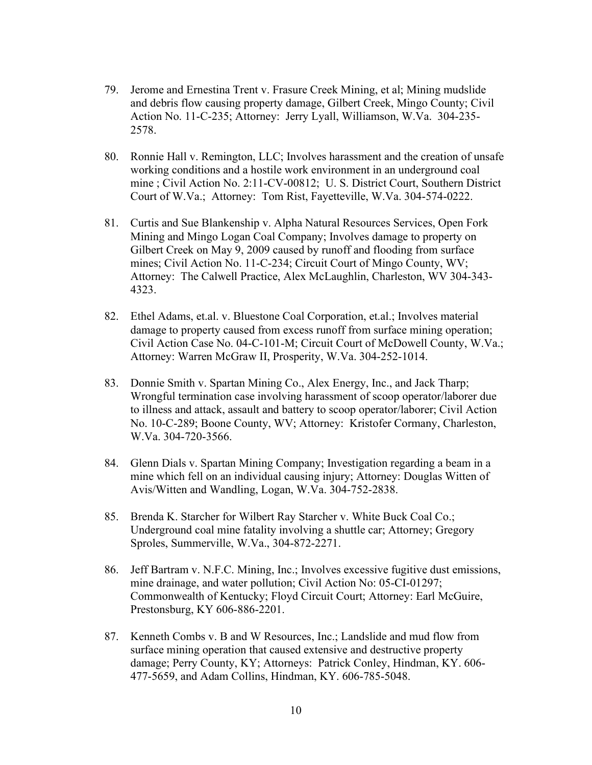- 79. Jerome and Ernestina Trent v. Frasure Creek Mining, et al; Mining mudslide and debris flow causing property damage, Gilbert Creek, Mingo County; Civil Action No. 11-C-235; Attorney: Jerry Lyall, Williamson, W.Va. 304-235- 2578.
- 80. Ronnie Hall v. Remington, LLC; Involves harassment and the creation of unsafe working conditions and a hostile work environment in an underground coal mine ; Civil Action No. 2:11-CV-00812; U. S. District Court, Southern District Court of W.Va.; Attorney: Tom Rist, Fayetteville, W.Va. 304-574-0222.
- 81. Curtis and Sue Blankenship v. Alpha Natural Resources Services, Open Fork Mining and Mingo Logan Coal Company; Involves damage to property on Gilbert Creek on May 9, 2009 caused by runoff and flooding from surface mines; Civil Action No. 11-C-234; Circuit Court of Mingo County, WV; Attorney: The Calwell Practice, Alex McLaughlin, Charleston, WV 304-343- 4323.
- 82. Ethel Adams, et.al. v. Bluestone Coal Corporation, et.al.; Involves material damage to property caused from excess runoff from surface mining operation; Civil Action Case No. 04-C-101-M; Circuit Court of McDowell County, W.Va.; Attorney: Warren McGraw II, Prosperity, W.Va. 304-252-1014.
- 83. Donnie Smith v. Spartan Mining Co., Alex Energy, Inc., and Jack Tharp; Wrongful termination case involving harassment of scoop operator/laborer due to illness and attack, assault and battery to scoop operator/laborer; Civil Action No. 10-C-289; Boone County, WV; Attorney: Kristofer Cormany, Charleston, W.Va. 304-720-3566.
- 84. Glenn Dials v. Spartan Mining Company; Investigation regarding a beam in a mine which fell on an individual causing injury; Attorney: Douglas Witten of Avis/Witten and Wandling, Logan, W.Va. 304-752-2838.
- 85. Brenda K. Starcher for Wilbert Ray Starcher v. White Buck Coal Co.; Underground coal mine fatality involving a shuttle car; Attorney; Gregory Sproles, Summerville, W.Va., 304-872-2271.
- 86. Jeff Bartram v. N.F.C. Mining, Inc.; Involves excessive fugitive dust emissions, mine drainage, and water pollution; Civil Action No: 05-CI-01297; Commonwealth of Kentucky; Floyd Circuit Court; Attorney: Earl McGuire, Prestonsburg, KY 606-886-2201.
- 87. Kenneth Combs v. B and W Resources, Inc.; Landslide and mud flow from surface mining operation that caused extensive and destructive property damage; Perry County, KY; Attorneys: Patrick Conley, Hindman, KY. 606- 477-5659, and Adam Collins, Hindman, KY. 606-785-5048.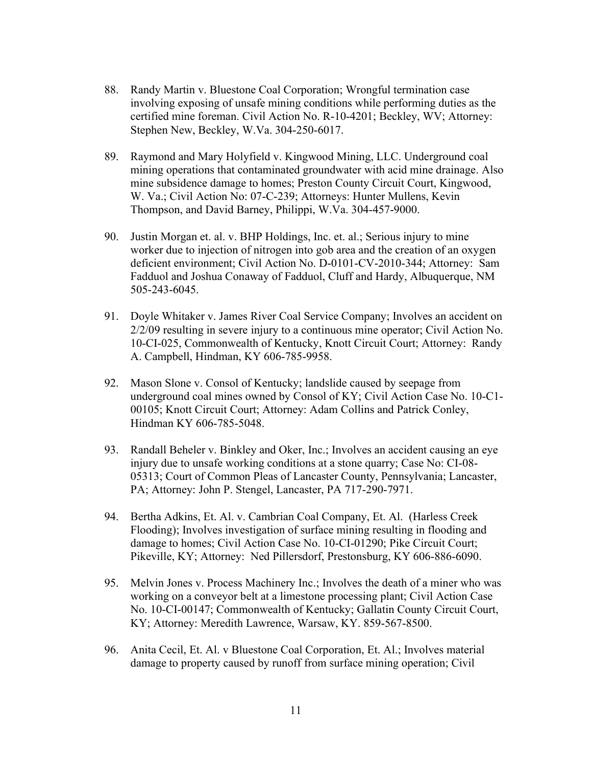- 88. Randy Martin v. Bluestone Coal Corporation; Wrongful termination case involving exposing of unsafe mining conditions while performing duties as the certified mine foreman. Civil Action No. R-10-4201; Beckley, WV; Attorney: Stephen New, Beckley, W.Va. 304-250-6017.
- 89. Raymond and Mary Holyfield v. Kingwood Mining, LLC. Underground coal mining operations that contaminated groundwater with acid mine drainage. Also mine subsidence damage to homes; Preston County Circuit Court, Kingwood, W. Va.; Civil Action No: 07-C-239; Attorneys: Hunter Mullens, Kevin Thompson, and David Barney, Philippi, W.Va. 304-457-9000.
- 90. Justin Morgan et. al. v. BHP Holdings, Inc. et. al.; Serious injury to mine worker due to injection of nitrogen into gob area and the creation of an oxygen deficient environment; Civil Action No. D-0101-CV-2010-344; Attorney: Sam Fadduol and Joshua Conaway of Fadduol, Cluff and Hardy, Albuquerque, NM 505-243-6045.
- 91. Doyle Whitaker v. James River Coal Service Company; Involves an accident on 2/2/09 resulting in severe injury to a continuous mine operator; Civil Action No. 10-CI-025, Commonwealth of Kentucky, Knott Circuit Court; Attorney: Randy A. Campbell, Hindman, KY 606-785-9958.
- 92. Mason Slone v. Consol of Kentucky; landslide caused by seepage from underground coal mines owned by Consol of KY; Civil Action Case No. 10-C1- 00105; Knott Circuit Court; Attorney: Adam Collins and Patrick Conley, Hindman KY 606-785-5048.
- 93. Randall Beheler v. Binkley and Oker, Inc.; Involves an accident causing an eye injury due to unsafe working conditions at a stone quarry; Case No: CI-08- 05313; Court of Common Pleas of Lancaster County, Pennsylvania; Lancaster, PA; Attorney: John P. Stengel, Lancaster, PA 717-290-7971.
- 94. Bertha Adkins, Et. Al. v. Cambrian Coal Company, Et. Al. (Harless Creek Flooding); Involves investigation of surface mining resulting in flooding and damage to homes; Civil Action Case No. 10-CI-01290; Pike Circuit Court; Pikeville, KY; Attorney: Ned Pillersdorf, Prestonsburg, KY 606-886-6090.
- 95. Melvin Jones v. Process Machinery Inc.; Involves the death of a miner who was working on a conveyor belt at a limestone processing plant; Civil Action Case No. 10-CI-00147; Commonwealth of Kentucky; Gallatin County Circuit Court, KY; Attorney: Meredith Lawrence, Warsaw, KY. 859-567-8500.
- 96. Anita Cecil, Et. Al. v Bluestone Coal Corporation, Et. Al.; Involves material damage to property caused by runoff from surface mining operation; Civil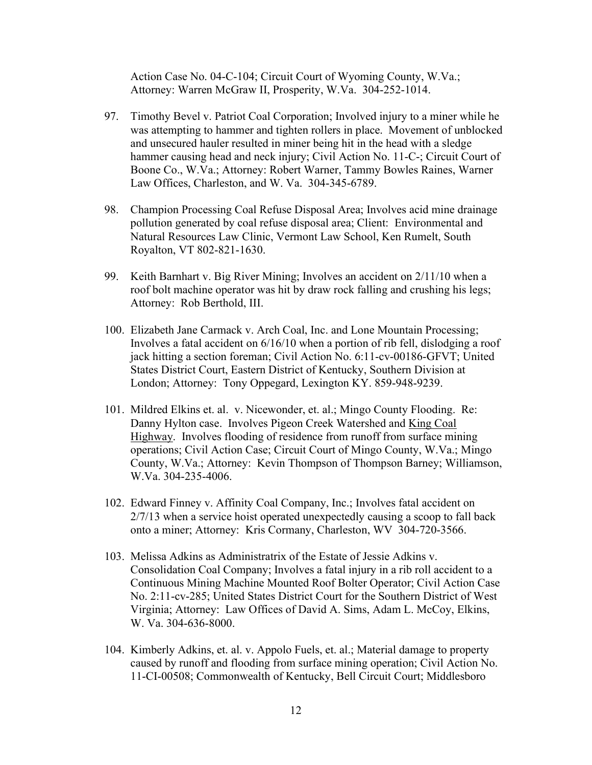Action Case No. 04-C-104; Circuit Court of Wyoming County, W.Va.; Attorney: Warren McGraw II, Prosperity, W.Va. 304-252-1014.

- 97. Timothy Bevel v. Patriot Coal Corporation; Involved injury to a miner while he was attempting to hammer and tighten rollers in place. Movement of unblocked and unsecured hauler resulted in miner being hit in the head with a sledge hammer causing head and neck injury; Civil Action No. 11-C-; Circuit Court of Boone Co., W.Va.; Attorney: Robert Warner, Tammy Bowles Raines, Warner Law Offices, Charleston, and W. Va. 304-345-6789.
- 98. Champion Processing Coal Refuse Disposal Area; Involves acid mine drainage pollution generated by coal refuse disposal area; Client: Environmental and Natural Resources Law Clinic, Vermont Law School, Ken Rumelt, South Royalton, VT 802-821-1630.
- 99. Keith Barnhart v. Big River Mining; Involves an accident on 2/11/10 when a roof bolt machine operator was hit by draw rock falling and crushing his legs; Attorney: Rob Berthold, III.
- 100. Elizabeth Jane Carmack v. Arch Coal, Inc. and Lone Mountain Processing; Involves a fatal accident on 6/16/10 when a portion of rib fell, dislodging a roof jack hitting a section foreman; Civil Action No. 6:11-cv-00186-GFVT; United States District Court, Eastern District of Kentucky, Southern Division at London; Attorney: Tony Oppegard, Lexington KY. 859-948-9239.
- 101. Mildred Elkins et. al. v. Nicewonder, et. al.; Mingo County Flooding. Re: Danny Hylton case. Involves Pigeon Creek Watershed and King Coal Highway. Involves flooding of residence from runoff from surface mining operations; Civil Action Case; Circuit Court of Mingo County, W.Va.; Mingo County, W.Va.; Attorney: Kevin Thompson of Thompson Barney; Williamson, W.Va. 304-235-4006.
- 102. Edward Finney v. Affinity Coal Company, Inc.; Involves fatal accident on 2/7/13 when a service hoist operated unexpectedly causing a scoop to fall back onto a miner; Attorney: Kris Cormany, Charleston, WV 304-720-3566.
- 103. Melissa Adkins as Administratrix of the Estate of Jessie Adkins v. Consolidation Coal Company; Involves a fatal injury in a rib roll accident to a Continuous Mining Machine Mounted Roof Bolter Operator; Civil Action Case No. 2:11-cv-285; United States District Court for the Southern District of West Virginia; Attorney: Law Offices of David A. Sims, Adam L. McCoy, Elkins, W. Va. 304-636-8000.
- 104. Kimberly Adkins, et. al. v. Appolo Fuels, et. al.; Material damage to property caused by runoff and flooding from surface mining operation; Civil Action No. 11-CI-00508; Commonwealth of Kentucky, Bell Circuit Court; Middlesboro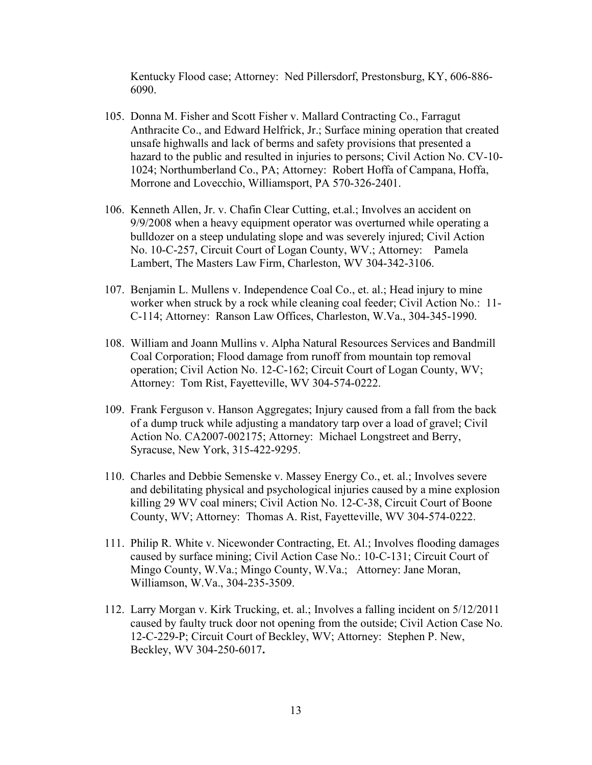Kentucky Flood case; Attorney: Ned Pillersdorf, Prestonsburg, KY, 606-886- 6090.

- 105. Donna M. Fisher and Scott Fisher v. Mallard Contracting Co., Farragut Anthracite Co., and Edward Helfrick, Jr.; Surface mining operation that created unsafe highwalls and lack of berms and safety provisions that presented a hazard to the public and resulted in injuries to persons; Civil Action No. CV-10- 1024; Northumberland Co., PA; Attorney: Robert Hoffa of Campana, Hoffa, Morrone and Lovecchio, Williamsport, PA 570-326-2401.
- 106. Kenneth Allen, Jr. v. Chafin Clear Cutting, et.al.; Involves an accident on 9/9/2008 when a heavy equipment operator was overturned while operating a bulldozer on a steep undulating slope and was severely injured; Civil Action No. 10-C-257, Circuit Court of Logan County, WV.; Attorney: Pamela Lambert, The Masters Law Firm, Charleston, WV 304-342-3106.
- 107. Benjamin L. Mullens v. Independence Coal Co., et. al.; Head injury to mine worker when struck by a rock while cleaning coal feeder; Civil Action No.: 11- C-114; Attorney: Ranson Law Offices, Charleston, W.Va., 304-345-1990.
- 108. William and Joann Mullins v. Alpha Natural Resources Services and Bandmill Coal Corporation; Flood damage from runoff from mountain top removal operation; Civil Action No. 12-C-162; Circuit Court of Logan County, WV; Attorney: Tom Rist, Fayetteville, WV 304-574-0222.
- 109. Frank Ferguson v. Hanson Aggregates; Injury caused from a fall from the back of a dump truck while adjusting a mandatory tarp over a load of gravel; Civil Action No. CA2007-002175; Attorney: Michael Longstreet and Berry, Syracuse, New York, 315-422-9295.
- 110. Charles and Debbie Semenske v. Massey Energy Co., et. al.; Involves severe and debilitating physical and psychological injuries caused by a mine explosion killing 29 WV coal miners; Civil Action No. 12-C-38, Circuit Court of Boone County, WV; Attorney: Thomas A. Rist, Fayetteville, WV 304-574-0222.
- 111. Philip R. White v. Nicewonder Contracting, Et. Al.; Involves flooding damages caused by surface mining; Civil Action Case No.: 10-C-131; Circuit Court of Mingo County, W.Va.; Mingo County, W.Va.; Attorney: Jane Moran, Williamson, W.Va., 304-235-3509.
- 112. Larry Morgan v. Kirk Trucking, et. al.; Involves a falling incident on 5/12/2011 caused by faulty truck door not opening from the outside; Civil Action Case No. 12-C-229-P; Circuit Court of Beckley, WV; Attorney: Stephen P. New, Beckley, WV 304-250-6017.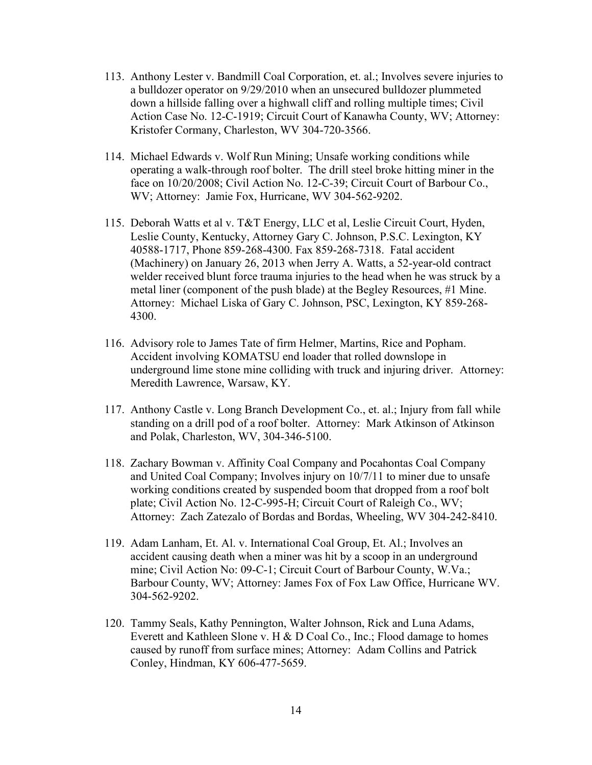- 113. Anthony Lester v. Bandmill Coal Corporation, et. al.; Involves severe injuries to a bulldozer operator on 9/29/2010 when an unsecured bulldozer plummeted down a hillside falling over a highwall cliff and rolling multiple times; Civil Action Case No. 12-C-1919; Circuit Court of Kanawha County, WV; Attorney: Kristofer Cormany, Charleston, WV 304-720-3566.
- 114. Michael Edwards v. Wolf Run Mining; Unsafe working conditions while operating a walk-through roof bolter. The drill steel broke hitting miner in the face on 10/20/2008; Civil Action No. 12-C-39; Circuit Court of Barbour Co., WV; Attorney: Jamie Fox, Hurricane, WV 304-562-9202.
- 115. Deborah Watts et al v. T&T Energy, LLC et al, Leslie Circuit Court, Hyden, Leslie County, Kentucky, Attorney Gary C. Johnson, P.S.C. Lexington, KY 40588-1717, Phone 859-268-4300. Fax 859-268-7318. Fatal accident (Machinery) on January 26, 2013 when Jerry A. Watts, a 52-year-old contract welder received blunt force trauma injuries to the head when he was struck by a metal liner (component of the push blade) at the Begley Resources, #1 Mine. Attorney: Michael Liska of Gary C. Johnson, PSC, Lexington, KY 859-268- 4300.
- 116. Advisory role to James Tate of firm Helmer, Martins, Rice and Popham. Accident involving KOMATSU end loader that rolled downslope in underground lime stone mine colliding with truck and injuring driver. Attorney: Meredith Lawrence, Warsaw, KY.
- 117. Anthony Castle v. Long Branch Development Co., et. al.; Injury from fall while standing on a drill pod of a roof bolter. Attorney: Mark Atkinson of Atkinson and Polak, Charleston, WV, 304-346-5100.
- 118. Zachary Bowman v. Affinity Coal Company and Pocahontas Coal Company and United Coal Company; Involves injury on 10/7/11 to miner due to unsafe working conditions created by suspended boom that dropped from a roof bolt plate; Civil Action No. 12-C-995-H; Circuit Court of Raleigh Co., WV; Attorney: Zach Zatezalo of Bordas and Bordas, Wheeling, WV 304-242-8410.
- 119. Adam Lanham, Et. Al. v. International Coal Group, Et. Al.; Involves an accident causing death when a miner was hit by a scoop in an underground mine; Civil Action No: 09-C-1; Circuit Court of Barbour County, W.Va.; Barbour County, WV; Attorney: James Fox of Fox Law Office, Hurricane WV. 304-562-9202.
- 120. Tammy Seals, Kathy Pennington, Walter Johnson, Rick and Luna Adams, Everett and Kathleen Slone v. H & D Coal Co., Inc.; Flood damage to homes caused by runoff from surface mines; Attorney: Adam Collins and Patrick Conley, Hindman, KY 606-477-5659.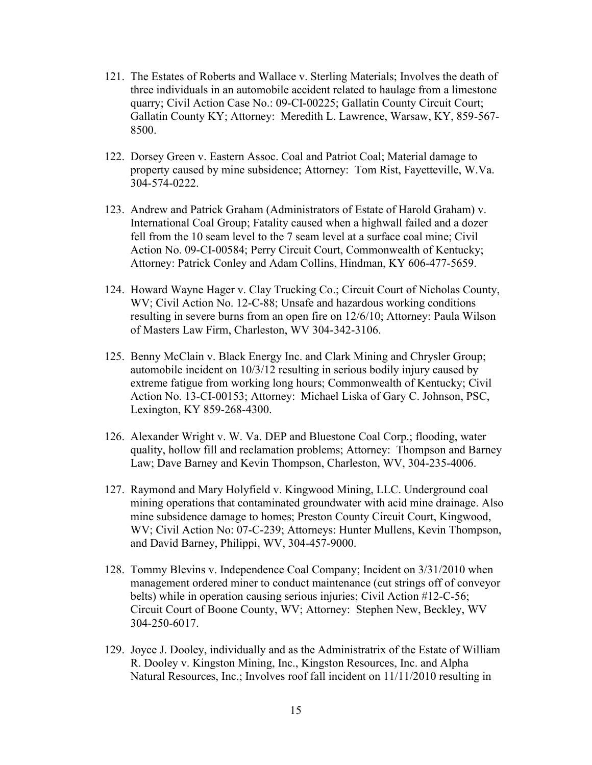- 121. The Estates of Roberts and Wallace v. Sterling Materials; Involves the death of three individuals in an automobile accident related to haulage from a limestone quarry; Civil Action Case No.: 09-CI-00225; Gallatin County Circuit Court; Gallatin County KY; Attorney: Meredith L. Lawrence, Warsaw, KY, 859-567- 8500.
- 122. Dorsey Green v. Eastern Assoc. Coal and Patriot Coal; Material damage to property caused by mine subsidence; Attorney: Tom Rist, Fayetteville, W.Va. 304-574-0222.
- 123. Andrew and Patrick Graham (Administrators of Estate of Harold Graham) v. International Coal Group; Fatality caused when a highwall failed and a dozer fell from the 10 seam level to the 7 seam level at a surface coal mine; Civil Action No. 09-CI-00584; Perry Circuit Court, Commonwealth of Kentucky; Attorney: Patrick Conley and Adam Collins, Hindman, KY 606-477-5659.
- 124. Howard Wayne Hager v. Clay Trucking Co.; Circuit Court of Nicholas County, WV; Civil Action No. 12-C-88; Unsafe and hazardous working conditions resulting in severe burns from an open fire on 12/6/10; Attorney: Paula Wilson of Masters Law Firm, Charleston, WV 304-342-3106.
- 125. Benny McClain v. Black Energy Inc. and Clark Mining and Chrysler Group; automobile incident on 10/3/12 resulting in serious bodily injury caused by extreme fatigue from working long hours; Commonwealth of Kentucky; Civil Action No. 13-CI-00153; Attorney: Michael Liska of Gary C. Johnson, PSC, Lexington, KY 859-268-4300.
- 126. Alexander Wright v. W. Va. DEP and Bluestone Coal Corp.; flooding, water quality, hollow fill and reclamation problems; Attorney: Thompson and Barney Law; Dave Barney and Kevin Thompson, Charleston, WV, 304-235-4006.
- 127. Raymond and Mary Holyfield v. Kingwood Mining, LLC. Underground coal mining operations that contaminated groundwater with acid mine drainage. Also mine subsidence damage to homes; Preston County Circuit Court, Kingwood, WV; Civil Action No: 07-C-239; Attorneys: Hunter Mullens, Kevin Thompson, and David Barney, Philippi, WV, 304-457-9000.
- 128. Tommy Blevins v. Independence Coal Company; Incident on 3/31/2010 when management ordered miner to conduct maintenance (cut strings off of conveyor belts) while in operation causing serious injuries; Civil Action #12-C-56; Circuit Court of Boone County, WV; Attorney: Stephen New, Beckley, WV 304-250-6017.
- 129. Joyce J. Dooley, individually and as the Administratrix of the Estate of William R. Dooley v. Kingston Mining, Inc., Kingston Resources, Inc. and Alpha Natural Resources, Inc.; Involves roof fall incident on 11/11/2010 resulting in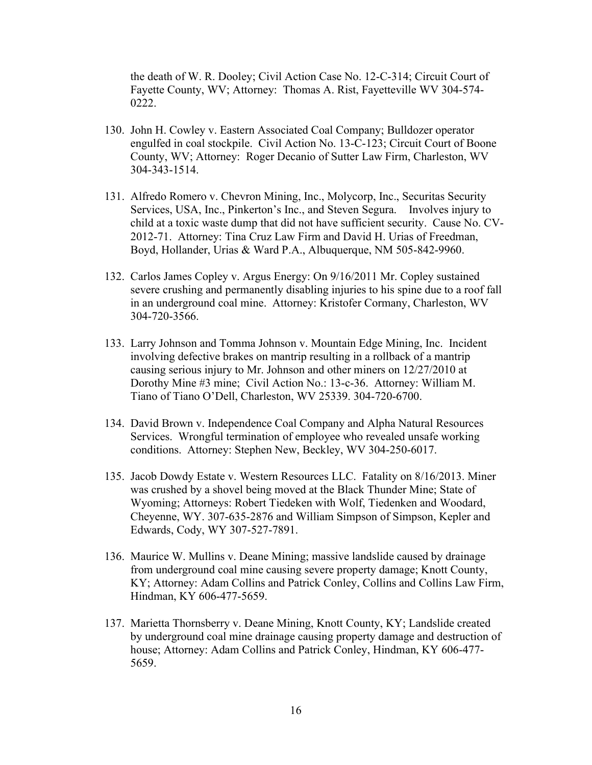the death of W. R. Dooley; Civil Action Case No. 12-C-314; Circuit Court of Fayette County, WV; Attorney: Thomas A. Rist, Fayetteville WV 304-574- 0222.

- 130. John H. Cowley v. Eastern Associated Coal Company; Bulldozer operator engulfed in coal stockpile. Civil Action No. 13-C-123; Circuit Court of Boone County, WV; Attorney: Roger Decanio of Sutter Law Firm, Charleston, WV 304-343-1514.
- 131. Alfredo Romero v. Chevron Mining, Inc., Molycorp, Inc., Securitas Security Services, USA, Inc., Pinkerton's Inc., and Steven Segura. Involves injury to child at a toxic waste dump that did not have sufficient security. Cause No. CV-2012-71. Attorney: Tina Cruz Law Firm and David H. Urias of Freedman, Boyd, Hollander, Urias & Ward P.A., Albuquerque, NM 505-842-9960.
- 132. Carlos James Copley v. Argus Energy: On 9/16/2011 Mr. Copley sustained severe crushing and permanently disabling injuries to his spine due to a roof fall in an underground coal mine. Attorney: Kristofer Cormany, Charleston, WV 304-720-3566.
- 133. Larry Johnson and Tomma Johnson v. Mountain Edge Mining, Inc. Incident involving defective brakes on mantrip resulting in a rollback of a mantrip causing serious injury to Mr. Johnson and other miners on 12/27/2010 at Dorothy Mine #3 mine; Civil Action No.: 13-c-36. Attorney: William M. Tiano of Tiano O'Dell, Charleston, WV 25339. 304-720-6700.
- 134. David Brown v. Independence Coal Company and Alpha Natural Resources Services. Wrongful termination of employee who revealed unsafe working conditions. Attorney: Stephen New, Beckley, WV 304-250-6017.
- 135. Jacob Dowdy Estate v. Western Resources LLC. Fatality on 8/16/2013. Miner was crushed by a shovel being moved at the Black Thunder Mine; State of Wyoming; Attorneys: Robert Tiedeken with Wolf, Tiedenken and Woodard, Cheyenne, WY. 307-635-2876 and William Simpson of Simpson, Kepler and Edwards, Cody, WY 307-527-7891.
- 136. Maurice W. Mullins v. Deane Mining; massive landslide caused by drainage from underground coal mine causing severe property damage; Knott County, KY; Attorney: Adam Collins and Patrick Conley, Collins and Collins Law Firm, Hindman, KY 606-477-5659.
- 137. Marietta Thornsberry v. Deane Mining, Knott County, KY; Landslide created by underground coal mine drainage causing property damage and destruction of house; Attorney: Adam Collins and Patrick Conley, Hindman, KY 606-477- 5659.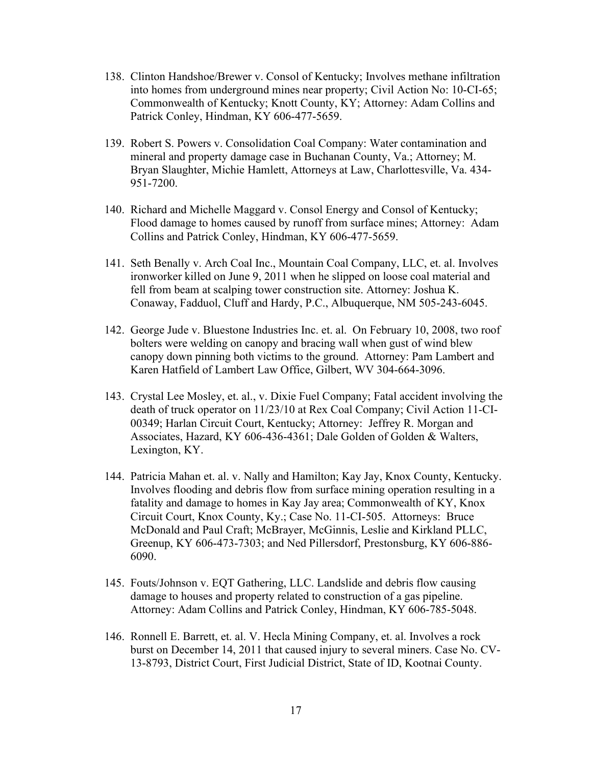- 138. Clinton Handshoe/Brewer v. Consol of Kentucky; Involves methane infiltration into homes from underground mines near property; Civil Action No: 10-CI-65; Commonwealth of Kentucky; Knott County, KY; Attorney: Adam Collins and Patrick Conley, Hindman, KY 606-477-5659.
- 139. Robert S. Powers v. Consolidation Coal Company: Water contamination and mineral and property damage case in Buchanan County, Va.; Attorney; M. Bryan Slaughter, Michie Hamlett, Attorneys at Law, Charlottesville, Va. 434- 951-7200.
- 140. Richard and Michelle Maggard v. Consol Energy and Consol of Kentucky; Flood damage to homes caused by runoff from surface mines; Attorney: Adam Collins and Patrick Conley, Hindman, KY 606-477-5659.
- 141. Seth Benally v. Arch Coal Inc., Mountain Coal Company, LLC, et. al. Involves ironworker killed on June 9, 2011 when he slipped on loose coal material and fell from beam at scalping tower construction site. Attorney: Joshua K. Conaway, Fadduol, Cluff and Hardy, P.C., Albuquerque, NM 505-243-6045.
- 142. George Jude v. Bluestone Industries Inc. et. al. On February 10, 2008, two roof bolters were welding on canopy and bracing wall when gust of wind blew canopy down pinning both victims to the ground. Attorney: Pam Lambert and Karen Hatfield of Lambert Law Office, Gilbert, WV 304-664-3096.
- 143. Crystal Lee Mosley, et. al., v. Dixie Fuel Company; Fatal accident involving the death of truck operator on 11/23/10 at Rex Coal Company; Civil Action 11-CI-00349; Harlan Circuit Court, Kentucky; Attorney: Jeffrey R. Morgan and Associates, Hazard, KY 606-436-4361; Dale Golden of Golden & Walters, Lexington, KY.
- 144. Patricia Mahan et. al. v. Nally and Hamilton; Kay Jay, Knox County, Kentucky. Involves flooding and debris flow from surface mining operation resulting in a fatality and damage to homes in Kay Jay area; Commonwealth of KY, Knox Circuit Court, Knox County, Ky.; Case No. 11-CI-505. Attorneys: Bruce McDonald and Paul Craft; McBrayer, McGinnis, Leslie and Kirkland PLLC, Greenup, KY 606-473-7303; and Ned Pillersdorf, Prestonsburg, KY 606-886- 6090.
- 145. Fouts/Johnson v. EQT Gathering, LLC. Landslide and debris flow causing damage to houses and property related to construction of a gas pipeline. Attorney: Adam Collins and Patrick Conley, Hindman, KY 606-785-5048.
- 146. Ronnell E. Barrett, et. al. V. Hecla Mining Company, et. al. Involves a rock burst on December 14, 2011 that caused injury to several miners. Case No. CV-13-8793, District Court, First Judicial District, State of ID, Kootnai County.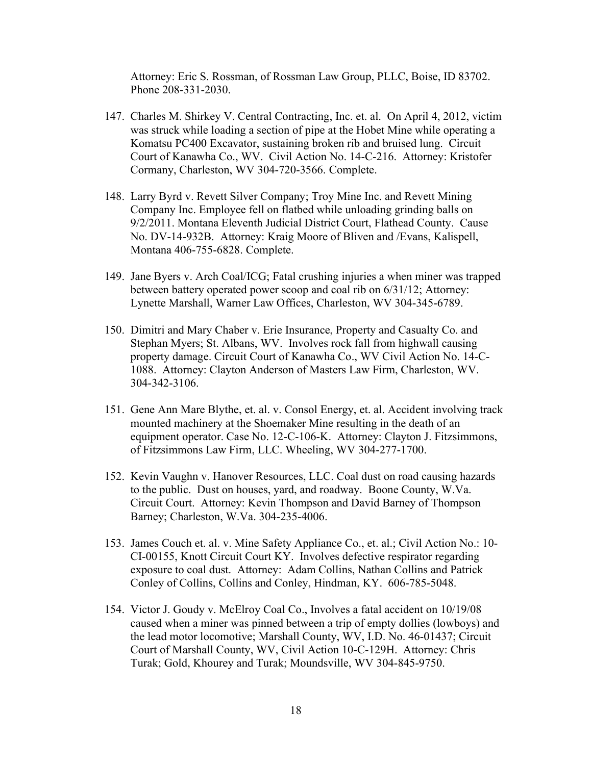Attorney: Eric S. Rossman, of Rossman Law Group, PLLC, Boise, ID 83702. Phone 208-331-2030.

- 147. Charles M. Shirkey V. Central Contracting, Inc. et. al. On April 4, 2012, victim was struck while loading a section of pipe at the Hobet Mine while operating a Komatsu PC400 Excavator, sustaining broken rib and bruised lung. Circuit Court of Kanawha Co., WV. Civil Action No. 14-C-216. Attorney: Kristofer Cormany, Charleston, WV 304-720-3566. Complete.
- 148. Larry Byrd v. Revett Silver Company; Troy Mine Inc. and Revett Mining Company Inc. Employee fell on flatbed while unloading grinding balls on 9/2/2011. Montana Eleventh Judicial District Court, Flathead County. Cause No. DV-14-932B. Attorney: Kraig Moore of Bliven and /Evans, Kalispell, Montana 406-755-6828. Complete.
- 149. Jane Byers v. Arch Coal/ICG; Fatal crushing injuries a when miner was trapped between battery operated power scoop and coal rib on 6/31/12; Attorney: Lynette Marshall, Warner Law Offices, Charleston, WV 304-345-6789.
- 150. Dimitri and Mary Chaber v. Erie Insurance, Property and Casualty Co. and Stephan Myers; St. Albans, WV. Involves rock fall from highwall causing property damage. Circuit Court of Kanawha Co., WV Civil Action No. 14-C-1088. Attorney: Clayton Anderson of Masters Law Firm, Charleston, WV. 304-342-3106.
- 151. Gene Ann Mare Blythe, et. al. v. Consol Energy, et. al. Accident involving track mounted machinery at the Shoemaker Mine resulting in the death of an equipment operator. Case No. 12-C-106-K. Attorney: Clayton J. Fitzsimmons, of Fitzsimmons Law Firm, LLC. Wheeling, WV 304-277-1700.
- 152. Kevin Vaughn v. Hanover Resources, LLC. Coal dust on road causing hazards to the public. Dust on houses, yard, and roadway. Boone County, W.Va. Circuit Court. Attorney: Kevin Thompson and David Barney of Thompson Barney; Charleston, W.Va. 304-235-4006.
- 153. James Couch et. al. v. Mine Safety Appliance Co., et. al.; Civil Action No.: 10- CI-00155, Knott Circuit Court KY. Involves defective respirator regarding exposure to coal dust. Attorney: Adam Collins, Nathan Collins and Patrick Conley of Collins, Collins and Conley, Hindman, KY. 606-785-5048.
- 154. Victor J. Goudy v. McElroy Coal Co., Involves a fatal accident on 10/19/08 caused when a miner was pinned between a trip of empty dollies (lowboys) and the lead motor locomotive; Marshall County, WV, I.D. No. 46-01437; Circuit Court of Marshall County, WV, Civil Action 10-C-129H. Attorney: Chris Turak; Gold, Khourey and Turak; Moundsville, WV 304-845-9750.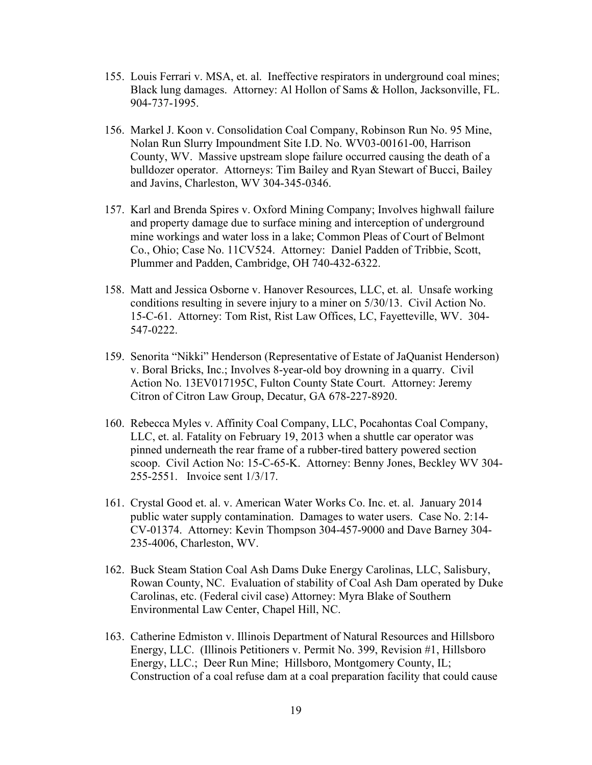- 155. Louis Ferrari v. MSA, et. al. Ineffective respirators in underground coal mines; Black lung damages. Attorney: Al Hollon of Sams & Hollon, Jacksonville, FL. 904-737-1995.
- 156. Markel J. Koon v. Consolidation Coal Company, Robinson Run No. 95 Mine, Nolan Run Slurry Impoundment Site I.D. No. WV03-00161-00, Harrison County, WV. Massive upstream slope failure occurred causing the death of a bulldozer operator. Attorneys: Tim Bailey and Ryan Stewart of Bucci, Bailey and Javins, Charleston, WV 304-345-0346.
- 157. Karl and Brenda Spires v. Oxford Mining Company; Involves highwall failure and property damage due to surface mining and interception of underground mine workings and water loss in a lake; Common Pleas of Court of Belmont Co., Ohio; Case No. 11CV524. Attorney: Daniel Padden of Tribbie, Scott, Plummer and Padden, Cambridge, OH 740-432-6322.
- 158. Matt and Jessica Osborne v. Hanover Resources, LLC, et. al. Unsafe working conditions resulting in severe injury to a miner on 5/30/13. Civil Action No. 15-C-61. Attorney: Tom Rist, Rist Law Offices, LC, Fayetteville, WV. 304- 547-0222.
- 159. Senorita "Nikki" Henderson (Representative of Estate of JaQuanist Henderson) v. Boral Bricks, Inc.; Involves 8-year-old boy drowning in a quarry. Civil Action No. 13EV017195C, Fulton County State Court. Attorney: Jeremy Citron of Citron Law Group, Decatur, GA 678-227-8920.
- 160. Rebecca Myles v. Affinity Coal Company, LLC, Pocahontas Coal Company, LLC, et. al. Fatality on February 19, 2013 when a shuttle car operator was pinned underneath the rear frame of a rubber-tired battery powered section scoop. Civil Action No: 15-C-65-K. Attorney: Benny Jones, Beckley WV 304- 255-2551. Invoice sent 1/3/17.
- 161. Crystal Good et. al. v. American Water Works Co. Inc. et. al. January 2014 public water supply contamination. Damages to water users. Case No. 2:14- CV-01374. Attorney: Kevin Thompson 304-457-9000 and Dave Barney 304- 235-4006, Charleston, WV.
- 162. Buck Steam Station Coal Ash Dams Duke Energy Carolinas, LLC, Salisbury, Rowan County, NC. Evaluation of stability of Coal Ash Dam operated by Duke Carolinas, etc. (Federal civil case) Attorney: Myra Blake of Southern Environmental Law Center, Chapel Hill, NC.
- 163. Catherine Edmiston v. Illinois Department of Natural Resources and Hillsboro Energy, LLC. (Illinois Petitioners v. Permit No. 399, Revision #1, Hillsboro Energy, LLC.; Deer Run Mine; Hillsboro, Montgomery County, IL; Construction of a coal refuse dam at a coal preparation facility that could cause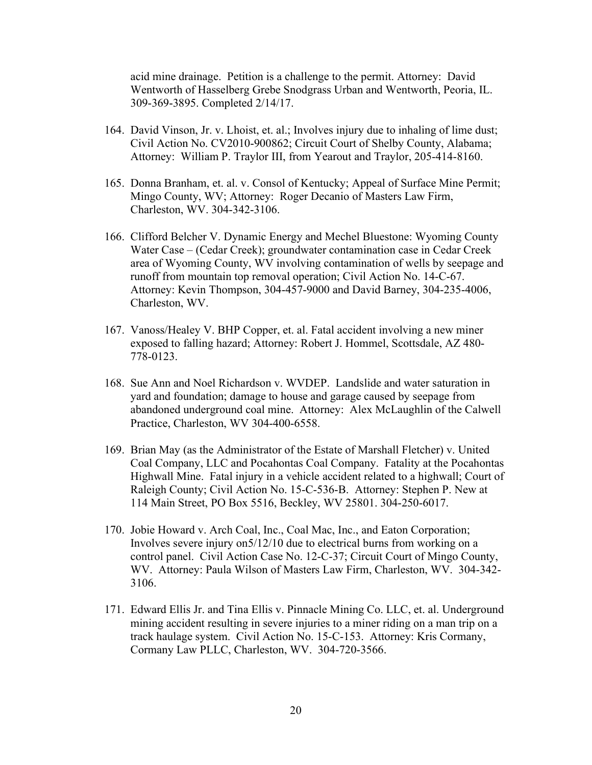acid mine drainage. Petition is a challenge to the permit. Attorney: David Wentworth of Hasselberg Grebe Snodgrass Urban and Wentworth, Peoria, IL. 309-369-3895. Completed 2/14/17.

- 164. David Vinson, Jr. v. Lhoist, et. al.; Involves injury due to inhaling of lime dust; Civil Action No. CV2010-900862; Circuit Court of Shelby County, Alabama; Attorney: William P. Traylor III, from Yearout and Traylor, 205-414-8160.
- 165. Donna Branham, et. al. v. Consol of Kentucky; Appeal of Surface Mine Permit; Mingo County, WV; Attorney: Roger Decanio of Masters Law Firm, Charleston, WV. 304-342-3106.
- 166. Clifford Belcher V. Dynamic Energy and Mechel Bluestone: Wyoming County Water Case – (Cedar Creek); groundwater contamination case in Cedar Creek area of Wyoming County, WV involving contamination of wells by seepage and runoff from mountain top removal operation; Civil Action No. 14-C-67. Attorney: Kevin Thompson, 304-457-9000 and David Barney, 304-235-4006, Charleston, WV.
- 167. Vanoss/Healey V. BHP Copper, et. al. Fatal accident involving a new miner exposed to falling hazard; Attorney: Robert J. Hommel, Scottsdale, AZ 480- 778-0123.
- 168. Sue Ann and Noel Richardson v. WVDEP. Landslide and water saturation in yard and foundation; damage to house and garage caused by seepage from abandoned underground coal mine. Attorney: Alex McLaughlin of the Calwell Practice, Charleston, WV 304-400-6558.
- 169. Brian May (as the Administrator of the Estate of Marshall Fletcher) v. United Coal Company, LLC and Pocahontas Coal Company. Fatality at the Pocahontas Highwall Mine. Fatal injury in a vehicle accident related to a highwall; Court of Raleigh County; Civil Action No. 15-C-536-B. Attorney: Stephen P. New at 114 Main Street, PO Box 5516, Beckley, WV 25801. 304-250-6017.
- 170. Jobie Howard v. Arch Coal, Inc., Coal Mac, Inc., and Eaton Corporation; Involves severe injury on5/12/10 due to electrical burns from working on a control panel. Civil Action Case No. 12-C-37; Circuit Court of Mingo County, WV. Attorney: Paula Wilson of Masters Law Firm, Charleston, WV. 304-342- 3106.
- 171. Edward Ellis Jr. and Tina Ellis v. Pinnacle Mining Co. LLC, et. al. Underground mining accident resulting in severe injuries to a miner riding on a man trip on a track haulage system. Civil Action No. 15-C-153. Attorney: Kris Cormany, Cormany Law PLLC, Charleston, WV. 304-720-3566.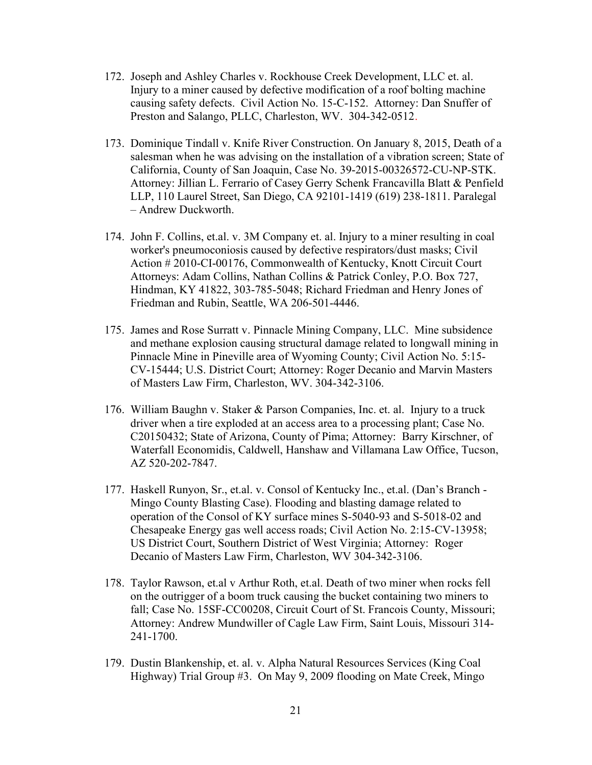- 172. Joseph and Ashley Charles v. Rockhouse Creek Development, LLC et. al. Injury to a miner caused by defective modification of a roof bolting machine causing safety defects. Civil Action No. 15-C-152. Attorney: Dan Snuffer of Preston and Salango, PLLC, Charleston, WV. 304-342-0512.
- 173. Dominique Tindall v. Knife River Construction. On January 8, 2015, Death of a salesman when he was advising on the installation of a vibration screen; State of California, County of San Joaquin, Case No. 39-2015-00326572-CU-NP-STK. Attorney: Jillian L. Ferrario of Casey Gerry Schenk Francavilla Blatt & Penfield LLP, 110 Laurel Street, San Diego, CA 92101-1419 (619) 238-1811. Paralegal – Andrew Duckworth.
- 174. John F. Collins, et.al. v. 3M Company et. al. Injury to a miner resulting in coal worker's pneumoconiosis caused by defective respirators/dust masks; Civil Action # 2010-CI-00176, Commonwealth of Kentucky, Knott Circuit Court Attorneys: Adam Collins, Nathan Collins & Patrick Conley, P.O. Box 727, Hindman, KY 41822, 303-785-5048; Richard Friedman and Henry Jones of Friedman and Rubin, Seattle, WA 206-501-4446.
- 175. James and Rose Surratt v. Pinnacle Mining Company, LLC. Mine subsidence and methane explosion causing structural damage related to longwall mining in Pinnacle Mine in Pineville area of Wyoming County; Civil Action No. 5:15- CV-15444; U.S. District Court; Attorney: Roger Decanio and Marvin Masters of Masters Law Firm, Charleston, WV. 304-342-3106.
- 176. William Baughn v. Staker & Parson Companies, Inc. et. al. Injury to a truck driver when a tire exploded at an access area to a processing plant; Case No. C20150432; State of Arizona, County of Pima; Attorney: Barry Kirschner, of Waterfall Economidis, Caldwell, Hanshaw and Villamana Law Office, Tucson, AZ 520-202-7847.
- 177. Haskell Runyon, Sr., et.al. v. Consol of Kentucky Inc., et.al. (Dan's Branch Mingo County Blasting Case). Flooding and blasting damage related to operation of the Consol of KY surface mines S-5040-93 and S-5018-02 and Chesapeake Energy gas well access roads; Civil Action No. 2:15-CV-13958; US District Court, Southern District of West Virginia; Attorney: Roger Decanio of Masters Law Firm, Charleston, WV 304-342-3106.
- 178. Taylor Rawson, et.al v Arthur Roth, et.al. Death of two miner when rocks fell on the outrigger of a boom truck causing the bucket containing two miners to fall; Case No. 15SF-CC00208, Circuit Court of St. Francois County, Missouri; Attorney: Andrew Mundwiller of Cagle Law Firm, Saint Louis, Missouri 314- 241-1700.
- 179. Dustin Blankenship, et. al. v. Alpha Natural Resources Services (King Coal Highway) Trial Group #3. On May 9, 2009 flooding on Mate Creek, Mingo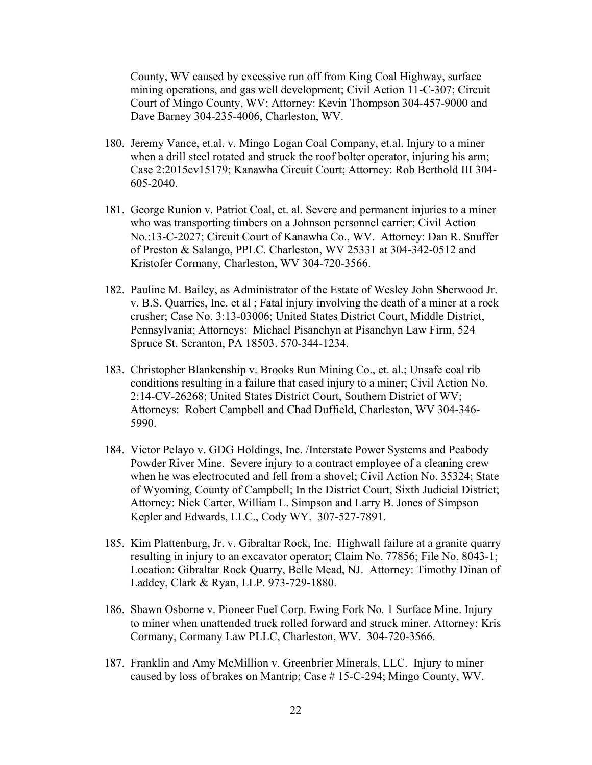County, WV caused by excessive run off from King Coal Highway, surface mining operations, and gas well development; Civil Action 11-C-307; Circuit Court of Mingo County, WV; Attorney: Kevin Thompson 304-457-9000 and Dave Barney 304-235-4006, Charleston, WV.

- 180. Jeremy Vance, et.al. v. Mingo Logan Coal Company, et.al. Injury to a miner when a drill steel rotated and struck the roof bolter operator, injuring his arm; Case 2:2015cv15179; Kanawha Circuit Court; Attorney: Rob Berthold III 304- 605-2040.
- 181. George Runion v. Patriot Coal, et. al. Severe and permanent injuries to a miner who was transporting timbers on a Johnson personnel carrier; Civil Action No.:13-C-2027; Circuit Court of Kanawha Co., WV. Attorney: Dan R. Snuffer of Preston & Salango, PPLC. Charleston, WV 25331 at 304-342-0512 and Kristofer Cormany, Charleston, WV 304-720-3566.
- 182. Pauline M. Bailey, as Administrator of the Estate of Wesley John Sherwood Jr. v. B.S. Quarries, Inc. et al ; Fatal injury involving the death of a miner at a rock crusher; Case No. 3:13-03006; United States District Court, Middle District, Pennsylvania; Attorneys: Michael Pisanchyn at Pisanchyn Law Firm, 524 Spruce St. Scranton, PA 18503. 570-344-1234.
- 183. Christopher Blankenship v. Brooks Run Mining Co., et. al.; Unsafe coal rib conditions resulting in a failure that cased injury to a miner; Civil Action No. 2:14-CV-26268; United States District Court, Southern District of WV; Attorneys: Robert Campbell and Chad Duffield, Charleston, WV 304-346- 5990.
- 184. Victor Pelayo v. GDG Holdings, Inc. /Interstate Power Systems and Peabody Powder River Mine. Severe injury to a contract employee of a cleaning crew when he was electrocuted and fell from a shovel; Civil Action No. 35324; State of Wyoming, County of Campbell; In the District Court, Sixth Judicial District; Attorney: Nick Carter, William L. Simpson and Larry B. Jones of Simpson Kepler and Edwards, LLC., Cody WY. 307-527-7891.
- 185. Kim Plattenburg, Jr. v. Gibraltar Rock, Inc. Highwall failure at a granite quarry resulting in injury to an excavator operator; Claim No. 77856; File No. 8043-1; Location: Gibraltar Rock Quarry, Belle Mead, NJ. Attorney: Timothy Dinan of Laddey, Clark & Ryan, LLP. 973-729-1880.
- 186. Shawn Osborne v. Pioneer Fuel Corp. Ewing Fork No. 1 Surface Mine. Injury to miner when unattended truck rolled forward and struck miner. Attorney: Kris Cormany, Cormany Law PLLC, Charleston, WV. 304-720-3566.
- 187. Franklin and Amy McMillion v. Greenbrier Minerals, LLC. Injury to miner caused by loss of brakes on Mantrip; Case # 15-C-294; Mingo County, WV.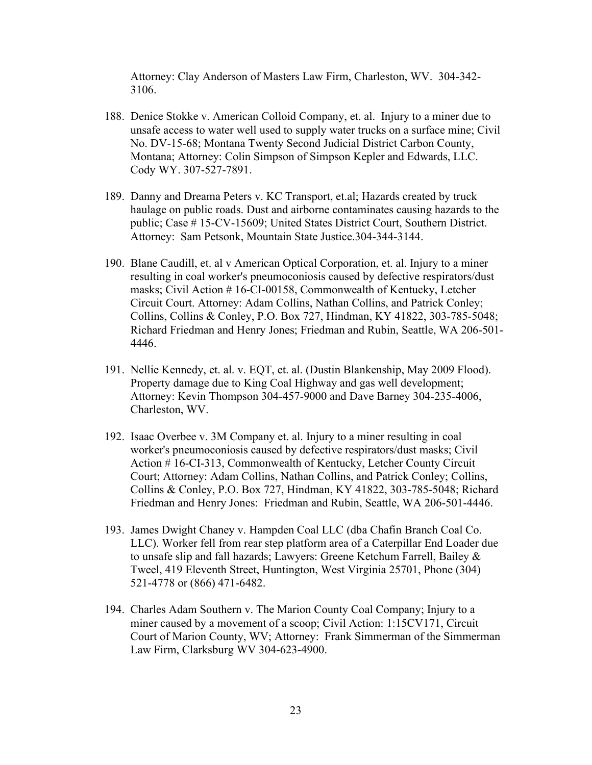Attorney: Clay Anderson of Masters Law Firm, Charleston, WV. 304-342- 3106.

- 188. Denice Stokke v. American Colloid Company, et. al. Injury to a miner due to unsafe access to water well used to supply water trucks on a surface mine; Civil No. DV-15-68; Montana Twenty Second Judicial District Carbon County, Montana; Attorney: Colin Simpson of Simpson Kepler and Edwards, LLC. Cody WY. 307-527-7891.
- 189. Danny and Dreama Peters v. KC Transport, et.al; Hazards created by truck haulage on public roads. Dust and airborne contaminates causing hazards to the public; Case # 15-CV-15609; United States District Court, Southern District. Attorney: Sam Petsonk, Mountain State Justice.304-344-3144.
- 190. Blane Caudill, et. al v American Optical Corporation, et. al. Injury to a miner resulting in coal worker's pneumoconiosis caused by defective respirators/dust masks; Civil Action # 16-CI-00158, Commonwealth of Kentucky, Letcher Circuit Court. Attorney: Adam Collins, Nathan Collins, and Patrick Conley; Collins, Collins & Conley, P.O. Box 727, Hindman, KY 41822, 303-785-5048; Richard Friedman and Henry Jones; Friedman and Rubin, Seattle, WA 206-501- 4446.
- 191. Nellie Kennedy, et. al. v. EQT, et. al. (Dustin Blankenship, May 2009 Flood). Property damage due to King Coal Highway and gas well development; Attorney: Kevin Thompson 304-457-9000 and Dave Barney 304-235-4006, Charleston, WV.
- 192. Isaac Overbee v. 3M Company et. al. Injury to a miner resulting in coal worker's pneumoconiosis caused by defective respirators/dust masks; Civil Action # 16-CI-313, Commonwealth of Kentucky, Letcher County Circuit Court; Attorney: Adam Collins, Nathan Collins, and Patrick Conley; Collins, Collins & Conley, P.O. Box 727, Hindman, KY 41822, 303-785-5048; Richard Friedman and Henry Jones: Friedman and Rubin, Seattle, WA 206-501-4446.
- 193. James Dwight Chaney v. Hampden Coal LLC (dba Chafin Branch Coal Co. LLC). Worker fell from rear step platform area of a Caterpillar End Loader due to unsafe slip and fall hazards; Lawyers: Greene Ketchum Farrell, Bailey & Tweel, 419 Eleventh Street, Huntington, West Virginia 25701, Phone (304) 521-4778 or (866) 471-6482.
- 194. Charles Adam Southern v. The Marion County Coal Company; Injury to a miner caused by a movement of a scoop; Civil Action: 1:15CV171, Circuit Court of Marion County, WV; Attorney: Frank Simmerman of the Simmerman Law Firm, Clarksburg WV 304-623-4900.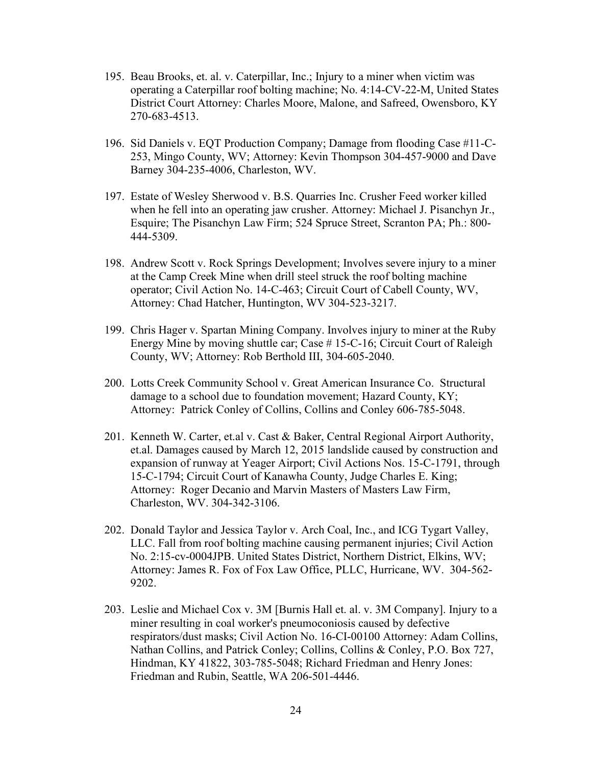- 195. Beau Brooks, et. al. v. Caterpillar, Inc.; Injury to a miner when victim was operating a Caterpillar roof bolting machine; No. 4:14-CV-22-M, United States District Court Attorney: Charles Moore, Malone, and Safreed, Owensboro, KY 270-683-4513.
- 196. Sid Daniels v. EQT Production Company; Damage from flooding Case #11-C-253, Mingo County, WV; Attorney: Kevin Thompson 304-457-9000 and Dave Barney 304-235-4006, Charleston, WV.
- 197. Estate of Wesley Sherwood v. B.S. Quarries Inc. Crusher Feed worker killed when he fell into an operating jaw crusher. Attorney: Michael J. Pisanchyn Jr., Esquire; The Pisanchyn Law Firm; 524 Spruce Street, Scranton PA; Ph.: 800- 444-5309.
- 198. Andrew Scott v. Rock Springs Development; Involves severe injury to a miner at the Camp Creek Mine when drill steel struck the roof bolting machine operator; Civil Action No. 14-C-463; Circuit Court of Cabell County, WV, Attorney: Chad Hatcher, Huntington, WV 304-523-3217.
- 199. Chris Hager v. Spartan Mining Company. Involves injury to miner at the Ruby Energy Mine by moving shuttle car; Case # 15-C-16; Circuit Court of Raleigh County, WV; Attorney: Rob Berthold III, 304-605-2040.
- 200. Lotts Creek Community School v. Great American Insurance Co. Structural damage to a school due to foundation movement; Hazard County, KY; Attorney: Patrick Conley of Collins, Collins and Conley 606-785-5048.
- 201. Kenneth W. Carter, et.al v. Cast & Baker, Central Regional Airport Authority, et.al. Damages caused by March 12, 2015 landslide caused by construction and expansion of runway at Yeager Airport; Civil Actions Nos. 15-C-1791, through 15-C-1794; Circuit Court of Kanawha County, Judge Charles E. King; Attorney: Roger Decanio and Marvin Masters of Masters Law Firm, Charleston, WV. 304-342-3106.
- 202. Donald Taylor and Jessica Taylor v. Arch Coal, Inc., and ICG Tygart Valley, LLC. Fall from roof bolting machine causing permanent injuries; Civil Action No. 2:15-cv-0004JPB. United States District, Northern District, Elkins, WV; Attorney: James R. Fox of Fox Law Office, PLLC, Hurricane, WV. 304-562- 9202.
- 203. Leslie and Michael Cox v. 3M [Burnis Hall et. al. v. 3M Company]. Injury to a miner resulting in coal worker's pneumoconiosis caused by defective respirators/dust masks; Civil Action No. 16-CI-00100 Attorney: Adam Collins, Nathan Collins, and Patrick Conley; Collins, Collins & Conley, P.O. Box 727, Hindman, KY 41822, 303-785-5048; Richard Friedman and Henry Jones: Friedman and Rubin, Seattle, WA 206-501-4446.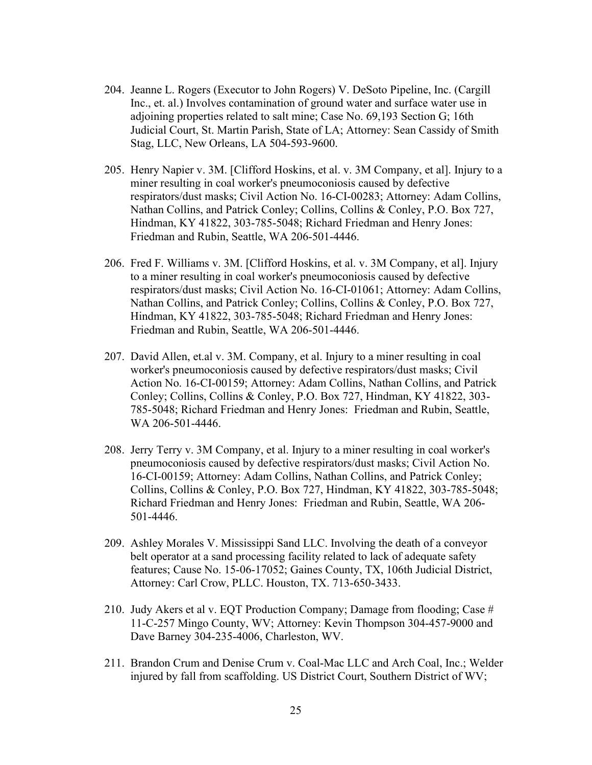- 204. Jeanne L. Rogers (Executor to John Rogers) V. DeSoto Pipeline, Inc. (Cargill Inc., et. al.) Involves contamination of ground water and surface water use in adjoining properties related to salt mine; Case No. 69,193 Section G; 16th Judicial Court, St. Martin Parish, State of LA; Attorney: Sean Cassidy of Smith Stag, LLC, New Orleans, LA 504-593-9600.
- 205. Henry Napier v. 3M. [Clifford Hoskins, et al. v. 3M Company, et al]. Injury to a miner resulting in coal worker's pneumoconiosis caused by defective respirators/dust masks; Civil Action No. 16-CI-00283; Attorney: Adam Collins, Nathan Collins, and Patrick Conley; Collins, Collins & Conley, P.O. Box 727, Hindman, KY 41822, 303-785-5048; Richard Friedman and Henry Jones: Friedman and Rubin, Seattle, WA 206-501-4446.
- 206. Fred F. Williams v. 3M. [Clifford Hoskins, et al. v. 3M Company, et al]. Injury to a miner resulting in coal worker's pneumoconiosis caused by defective respirators/dust masks; Civil Action No. 16-CI-01061; Attorney: Adam Collins, Nathan Collins, and Patrick Conley; Collins, Collins & Conley, P.O. Box 727, Hindman, KY 41822, 303-785-5048; Richard Friedman and Henry Jones: Friedman and Rubin, Seattle, WA 206-501-4446.
- 207. David Allen, et.al v. 3M. Company, et al. Injury to a miner resulting in coal worker's pneumoconiosis caused by defective respirators/dust masks; Civil Action No. 16-CI-00159; Attorney: Adam Collins, Nathan Collins, and Patrick Conley; Collins, Collins & Conley, P.O. Box 727, Hindman, KY 41822, 303- 785-5048; Richard Friedman and Henry Jones: Friedman and Rubin, Seattle, WA 206-501-4446.
- 208. Jerry Terry v. 3M Company, et al. Injury to a miner resulting in coal worker's pneumoconiosis caused by defective respirators/dust masks; Civil Action No. 16-CI-00159; Attorney: Adam Collins, Nathan Collins, and Patrick Conley; Collins, Collins & Conley, P.O. Box 727, Hindman, KY 41822, 303-785-5048; Richard Friedman and Henry Jones: Friedman and Rubin, Seattle, WA 206- 501-4446.
- 209. Ashley Morales V. Mississippi Sand LLC. Involving the death of a conveyor belt operator at a sand processing facility related to lack of adequate safety features; Cause No. 15-06-17052; Gaines County, TX, 106th Judicial District, Attorney: Carl Crow, PLLC. Houston, TX. 713-650-3433.
- 210. Judy Akers et al v. EQT Production Company; Damage from flooding; Case # 11-C-257 Mingo County, WV; Attorney: Kevin Thompson 304-457-9000 and Dave Barney 304-235-4006, Charleston, WV.
- 211. Brandon Crum and Denise Crum v. Coal-Mac LLC and Arch Coal, Inc.; Welder injured by fall from scaffolding. US District Court, Southern District of WV;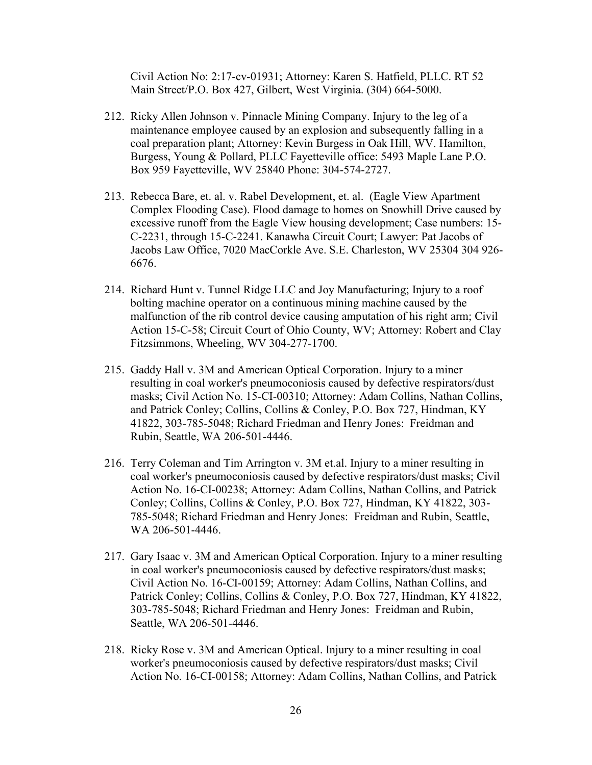Civil Action No: 2:17-cv-01931; Attorney: Karen S. Hatfield, PLLC. RT 52 Main Street/P.O. Box 427, Gilbert, West Virginia. (304) 664-5000.

- 212. Ricky Allen Johnson v. Pinnacle Mining Company. Injury to the leg of a maintenance employee caused by an explosion and subsequently falling in a coal preparation plant; Attorney: Kevin Burgess in Oak Hill, WV. Hamilton, Burgess, Young & Pollard, PLLC Fayetteville office: 5493 Maple Lane P.O. Box 959 Fayetteville, WV 25840 Phone: 304-574-2727.
- 213. Rebecca Bare, et. al. v. Rabel Development, et. al. (Eagle View Apartment Complex Flooding Case). Flood damage to homes on Snowhill Drive caused by excessive runoff from the Eagle View housing development; Case numbers: 15- C-2231, through 15-C-2241. Kanawha Circuit Court; Lawyer: Pat Jacobs of Jacobs Law Office, 7020 MacCorkle Ave. S.E. Charleston, WV 25304 304 926- 6676.
- 214. Richard Hunt v. Tunnel Ridge LLC and Joy Manufacturing; Injury to a roof bolting machine operator on a continuous mining machine caused by the malfunction of the rib control device causing amputation of his right arm; Civil Action 15-C-58; Circuit Court of Ohio County, WV; Attorney: Robert and Clay Fitzsimmons, Wheeling, WV 304-277-1700.
- 215. Gaddy Hall v. 3M and American Optical Corporation. Injury to a miner resulting in coal worker's pneumoconiosis caused by defective respirators/dust masks; Civil Action No. 15-CI-00310; Attorney: Adam Collins, Nathan Collins, and Patrick Conley; Collins, Collins & Conley, P.O. Box 727, Hindman, KY 41822, 303-785-5048; Richard Friedman and Henry Jones: Freidman and Rubin, Seattle, WA 206-501-4446.
- 216. Terry Coleman and Tim Arrington v. 3M et.al. Injury to a miner resulting in coal worker's pneumoconiosis caused by defective respirators/dust masks; Civil Action No. 16-CI-00238; Attorney: Adam Collins, Nathan Collins, and Patrick Conley; Collins, Collins & Conley, P.O. Box 727, Hindman, KY 41822, 303- 785-5048; Richard Friedman and Henry Jones: Freidman and Rubin, Seattle, WA 206-501-4446.
- 217. Gary Isaac v. 3M and American Optical Corporation. Injury to a miner resulting in coal worker's pneumoconiosis caused by defective respirators/dust masks; Civil Action No. 16-CI-00159; Attorney: Adam Collins, Nathan Collins, and Patrick Conley; Collins, Collins & Conley, P.O. Box 727, Hindman, KY 41822, 303-785-5048; Richard Friedman and Henry Jones: Freidman and Rubin, Seattle, WA 206-501-4446.
- 218. Ricky Rose v. 3M and American Optical. Injury to a miner resulting in coal worker's pneumoconiosis caused by defective respirators/dust masks; Civil Action No. 16-CI-00158; Attorney: Adam Collins, Nathan Collins, and Patrick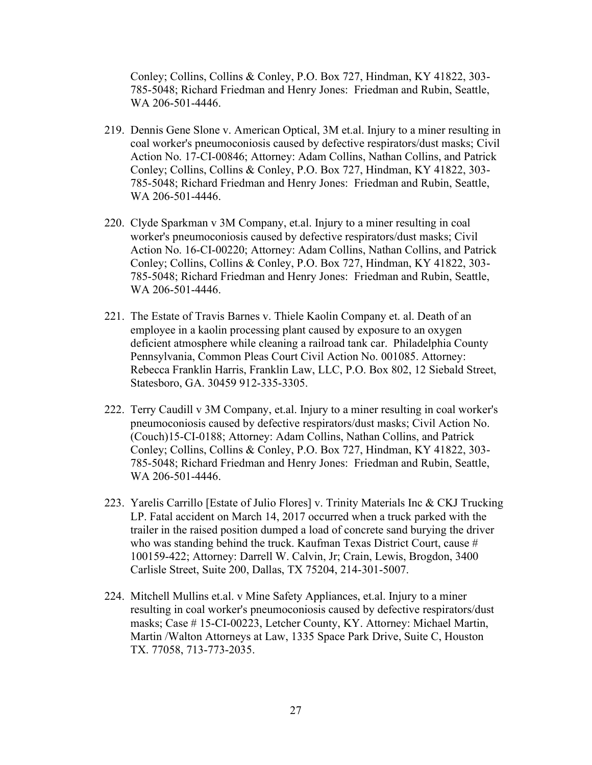Conley; Collins, Collins & Conley, P.O. Box 727, Hindman, KY 41822, 303- 785-5048; Richard Friedman and Henry Jones: Friedman and Rubin, Seattle, WA 206-501-4446.

- 219. Dennis Gene Slone v. American Optical, 3M et.al. Injury to a miner resulting in coal worker's pneumoconiosis caused by defective respirators/dust masks; Civil Action No. 17-CI-00846; Attorney: Adam Collins, Nathan Collins, and Patrick Conley; Collins, Collins & Conley, P.O. Box 727, Hindman, KY 41822, 303- 785-5048; Richard Friedman and Henry Jones: Friedman and Rubin, Seattle, WA 206-501-4446.
- 220. Clyde Sparkman v 3M Company, et.al. Injury to a miner resulting in coal worker's pneumoconiosis caused by defective respirators/dust masks; Civil Action No. 16-CI-00220; Attorney: Adam Collins, Nathan Collins, and Patrick Conley; Collins, Collins & Conley, P.O. Box 727, Hindman, KY 41822, 303- 785-5048; Richard Friedman and Henry Jones: Friedman and Rubin, Seattle, WA 206-501-4446.
- 221. The Estate of Travis Barnes v. Thiele Kaolin Company et. al. Death of an employee in a kaolin processing plant caused by exposure to an oxygen deficient atmosphere while cleaning a railroad tank car. Philadelphia County Pennsylvania, Common Pleas Court Civil Action No. 001085. Attorney: Rebecca Franklin Harris, Franklin Law, LLC, P.O. Box 802, 12 Siebald Street, Statesboro, GA. 30459 912-335-3305.
- 222. Terry Caudill v 3M Company, et.al. Injury to a miner resulting in coal worker's pneumoconiosis caused by defective respirators/dust masks; Civil Action No. (Couch)15-CI-0188; Attorney: Adam Collins, Nathan Collins, and Patrick Conley; Collins, Collins & Conley, P.O. Box 727, Hindman, KY 41822, 303- 785-5048; Richard Friedman and Henry Jones: Friedman and Rubin, Seattle, WA 206-501-4446.
- 223. Yarelis Carrillo [Estate of Julio Flores] v. Trinity Materials Inc & CKJ Trucking LP. Fatal accident on March 14, 2017 occurred when a truck parked with the trailer in the raised position dumped a load of concrete sand burying the driver who was standing behind the truck. Kaufman Texas District Court, cause # 100159-422; Attorney: Darrell W. Calvin, Jr; Crain, Lewis, Brogdon, 3400 Carlisle Street, Suite 200, Dallas, TX 75204, 214-301-5007.
- 224. Mitchell Mullins et.al. v Mine Safety Appliances, et.al. Injury to a miner resulting in coal worker's pneumoconiosis caused by defective respirators/dust masks; Case # 15-CI-00223, Letcher County, KY. Attorney: Michael Martin, Martin /Walton Attorneys at Law, 1335 Space Park Drive, Suite C, Houston TX. 77058, 713-773-2035.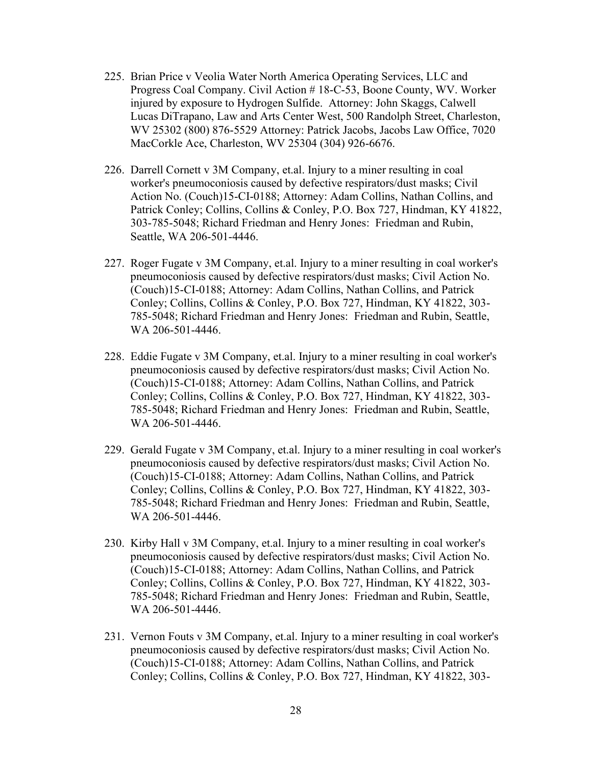- 225. Brian Price v Veolia Water North America Operating Services, LLC and Progress Coal Company. Civil Action # 18-C-53, Boone County, WV. Worker injured by exposure to Hydrogen Sulfide. Attorney: John Skaggs, Calwell Lucas DiTrapano, Law and Arts Center West, 500 Randolph Street, Charleston, WV 25302 (800) 876-5529 Attorney: Patrick Jacobs, Jacobs Law Office, 7020 MacCorkle Ace, Charleston, WV 25304 (304) 926-6676.
- 226. Darrell Cornett v 3M Company, et.al. Injury to a miner resulting in coal worker's pneumoconiosis caused by defective respirators/dust masks; Civil Action No. (Couch)15-CI-0188; Attorney: Adam Collins, Nathan Collins, and Patrick Conley; Collins, Collins & Conley, P.O. Box 727, Hindman, KY 41822, 303-785-5048; Richard Friedman and Henry Jones: Friedman and Rubin, Seattle, WA 206-501-4446.
- 227. Roger Fugate v 3M Company, et.al. Injury to a miner resulting in coal worker's pneumoconiosis caused by defective respirators/dust masks; Civil Action No. (Couch)15-CI-0188; Attorney: Adam Collins, Nathan Collins, and Patrick Conley; Collins, Collins & Conley, P.O. Box 727, Hindman, KY 41822, 303- 785-5048; Richard Friedman and Henry Jones: Friedman and Rubin, Seattle, WA 206-501-4446.
- 228. Eddie Fugate v 3M Company, et.al. Injury to a miner resulting in coal worker's pneumoconiosis caused by defective respirators/dust masks; Civil Action No. (Couch)15-CI-0188; Attorney: Adam Collins, Nathan Collins, and Patrick Conley; Collins, Collins & Conley, P.O. Box 727, Hindman, KY 41822, 303- 785-5048; Richard Friedman and Henry Jones: Friedman and Rubin, Seattle, WA 206-501-4446.
- 229. Gerald Fugate v 3M Company, et.al. Injury to a miner resulting in coal worker's pneumoconiosis caused by defective respirators/dust masks; Civil Action No. (Couch)15-CI-0188; Attorney: Adam Collins, Nathan Collins, and Patrick Conley; Collins, Collins & Conley, P.O. Box 727, Hindman, KY 41822, 303- 785-5048; Richard Friedman and Henry Jones: Friedman and Rubin, Seattle, WA 206-501-4446.
- 230. Kirby Hall v 3M Company, et.al. Injury to a miner resulting in coal worker's pneumoconiosis caused by defective respirators/dust masks; Civil Action No. (Couch)15-CI-0188; Attorney: Adam Collins, Nathan Collins, and Patrick Conley; Collins, Collins & Conley, P.O. Box 727, Hindman, KY 41822, 303- 785-5048; Richard Friedman and Henry Jones: Friedman and Rubin, Seattle, WA 206-501-4446.
- 231. Vernon Fouts v 3M Company, et.al. Injury to a miner resulting in coal worker's pneumoconiosis caused by defective respirators/dust masks; Civil Action No. (Couch)15-CI-0188; Attorney: Adam Collins, Nathan Collins, and Patrick Conley; Collins, Collins & Conley, P.O. Box 727, Hindman, KY 41822, 303-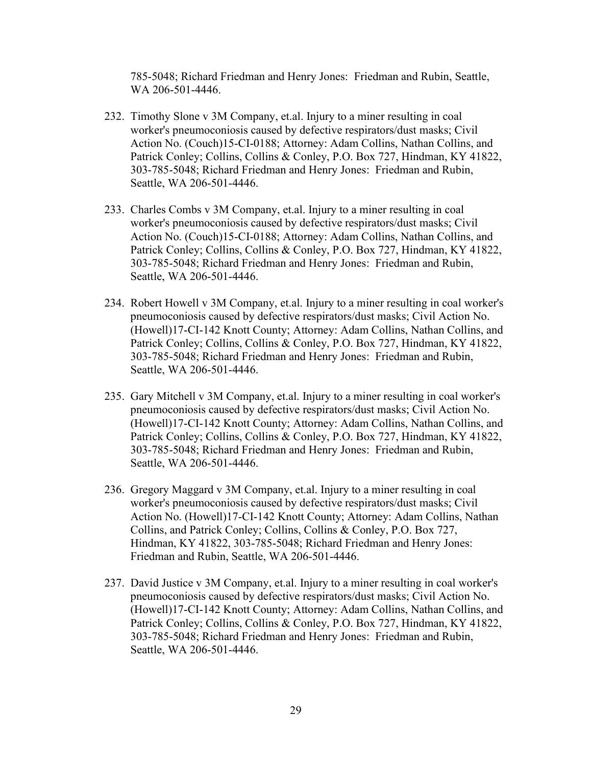785-5048; Richard Friedman and Henry Jones: Friedman and Rubin, Seattle, WA 206-501-4446.

- 232. Timothy Slone v 3M Company, et.al. Injury to a miner resulting in coal worker's pneumoconiosis caused by defective respirators/dust masks; Civil Action No. (Couch)15-CI-0188; Attorney: Adam Collins, Nathan Collins, and Patrick Conley; Collins, Collins & Conley, P.O. Box 727, Hindman, KY 41822, 303-785-5048; Richard Friedman and Henry Jones: Friedman and Rubin, Seattle, WA 206-501-4446.
- 233. Charles Combs v 3M Company, et.al. Injury to a miner resulting in coal worker's pneumoconiosis caused by defective respirators/dust masks; Civil Action No. (Couch)15-CI-0188; Attorney: Adam Collins, Nathan Collins, and Patrick Conley; Collins, Collins & Conley, P.O. Box 727, Hindman, KY 41822, 303-785-5048; Richard Friedman and Henry Jones: Friedman and Rubin, Seattle, WA 206-501-4446.
- 234. Robert Howell v 3M Company, et.al. Injury to a miner resulting in coal worker's pneumoconiosis caused by defective respirators/dust masks; Civil Action No. (Howell)17-CI-142 Knott County; Attorney: Adam Collins, Nathan Collins, and Patrick Conley; Collins, Collins & Conley, P.O. Box 727, Hindman, KY 41822, 303-785-5048; Richard Friedman and Henry Jones: Friedman and Rubin, Seattle, WA 206-501-4446.
- 235. Gary Mitchell v 3M Company, et.al. Injury to a miner resulting in coal worker's pneumoconiosis caused by defective respirators/dust masks; Civil Action No. (Howell)17-CI-142 Knott County; Attorney: Adam Collins, Nathan Collins, and Patrick Conley; Collins, Collins & Conley, P.O. Box 727, Hindman, KY 41822, 303-785-5048; Richard Friedman and Henry Jones: Friedman and Rubin, Seattle, WA 206-501-4446.
- 236. Gregory Maggard v 3M Company, et.al. Injury to a miner resulting in coal worker's pneumoconiosis caused by defective respirators/dust masks; Civil Action No. (Howell)17-CI-142 Knott County; Attorney: Adam Collins, Nathan Collins, and Patrick Conley; Collins, Collins & Conley, P.O. Box 727, Hindman, KY 41822, 303-785-5048; Richard Friedman and Henry Jones: Friedman and Rubin, Seattle, WA 206-501-4446.
- 237. David Justice v 3M Company, et.al. Injury to a miner resulting in coal worker's pneumoconiosis caused by defective respirators/dust masks; Civil Action No. (Howell)17-CI-142 Knott County; Attorney: Adam Collins, Nathan Collins, and Patrick Conley; Collins, Collins & Conley, P.O. Box 727, Hindman, KY 41822, 303-785-5048; Richard Friedman and Henry Jones: Friedman and Rubin, Seattle, WA 206-501-4446.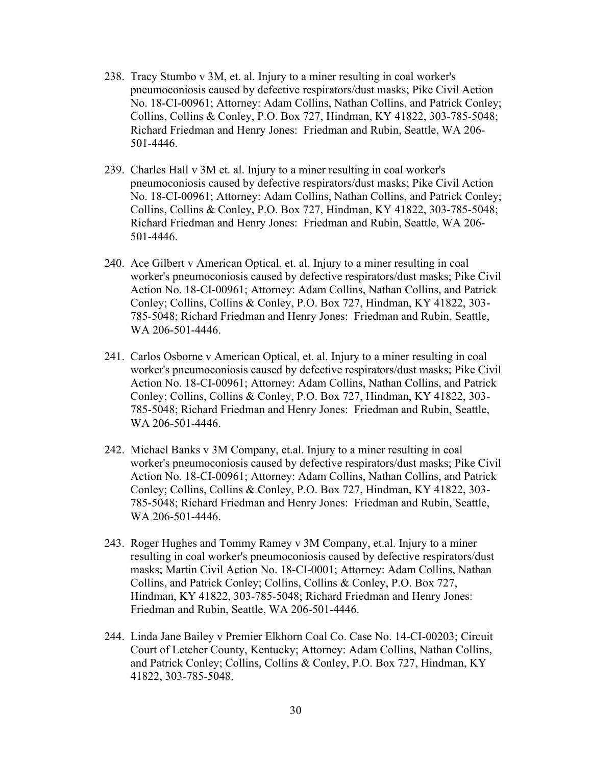- 238. Tracy Stumbo v 3M, et. al. Injury to a miner resulting in coal worker's pneumoconiosis caused by defective respirators/dust masks; Pike Civil Action No. 18-CI-00961; Attorney: Adam Collins, Nathan Collins, and Patrick Conley; Collins, Collins & Conley, P.O. Box 727, Hindman, KY 41822, 303-785-5048; Richard Friedman and Henry Jones: Friedman and Rubin, Seattle, WA 206- 501-4446.
- 239. Charles Hall v 3M et. al. Injury to a miner resulting in coal worker's pneumoconiosis caused by defective respirators/dust masks; Pike Civil Action No. 18-CI-00961; Attorney: Adam Collins, Nathan Collins, and Patrick Conley; Collins, Collins & Conley, P.O. Box 727, Hindman, KY 41822, 303-785-5048; Richard Friedman and Henry Jones: Friedman and Rubin, Seattle, WA 206- 501-4446.
- 240. Ace Gilbert v American Optical, et. al. Injury to a miner resulting in coal worker's pneumoconiosis caused by defective respirators/dust masks; Pike Civil Action No. 18-CI-00961; Attorney: Adam Collins, Nathan Collins, and Patrick Conley; Collins, Collins & Conley, P.O. Box 727, Hindman, KY 41822, 303- 785-5048; Richard Friedman and Henry Jones: Friedman and Rubin, Seattle, WA 206-501-4446.
- 241. Carlos Osborne v American Optical, et. al. Injury to a miner resulting in coal worker's pneumoconiosis caused by defective respirators/dust masks; Pike Civil Action No. 18-CI-00961; Attorney: Adam Collins, Nathan Collins, and Patrick Conley; Collins, Collins & Conley, P.O. Box 727, Hindman, KY 41822, 303- 785-5048; Richard Friedman and Henry Jones: Friedman and Rubin, Seattle, WA 206-501-4446.
- 242. Michael Banks v 3M Company, et.al. Injury to a miner resulting in coal worker's pneumoconiosis caused by defective respirators/dust masks; Pike Civil Action No. 18-CI-00961; Attorney: Adam Collins, Nathan Collins, and Patrick Conley; Collins, Collins & Conley, P.O. Box 727, Hindman, KY 41822, 303- 785-5048; Richard Friedman and Henry Jones: Friedman and Rubin, Seattle, WA 206-501-4446.
- 243. Roger Hughes and Tommy Ramey v 3M Company, et.al. Injury to a miner resulting in coal worker's pneumoconiosis caused by defective respirators/dust masks; Martin Civil Action No. 18-CI-0001; Attorney: Adam Collins, Nathan Collins, and Patrick Conley; Collins, Collins & Conley, P.O. Box 727, Hindman, KY 41822, 303-785-5048; Richard Friedman and Henry Jones: Friedman and Rubin, Seattle, WA 206-501-4446.
- 244. Linda Jane Bailey v Premier Elkhorn Coal Co. Case No. 14-CI-00203; Circuit Court of Letcher County, Kentucky; Attorney: Adam Collins, Nathan Collins, and Patrick Conley; Collins, Collins & Conley, P.O. Box 727, Hindman, KY 41822, 303-785-5048.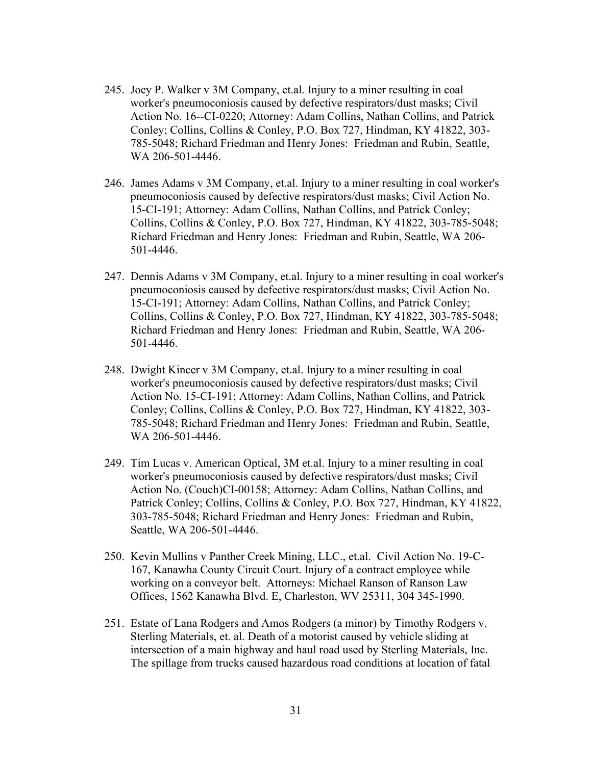- 245. Joey P. Walker v 3M Company, et.al. Injury to a miner resulting in coal worker's pneumoconiosis caused by defective respirators/dust masks; Civil Action No. 16--CI-0220; Attorney: Adam Collins, Nathan Collins, and Patrick Conley; Collins, Collins & Conley, P.O. Box 727, Hindman, KY 41822, 303- 785-5048; Richard Friedman and Henry Jones: Friedman and Rubin, Seattle, WA 206-501-4446.
- 246. James Adams v 3M Company, et.al. Injury to a miner resulting in coal worker's pneumoconiosis caused by defective respirators/dust masks; Civil Action No. 15-CI-191; Attorney: Adam Collins, Nathan Collins, and Patrick Conley; Collins, Collins & Conley, P.O. Box 727, Hindman, KY 41822, 303-785-5048; Richard Friedman and Henry Jones: Friedman and Rubin, Seattle, WA 206- 501-4446.
- 247. Dennis Adams v 3M Company, et.al. Injury to a miner resulting in coal worker's pneumoconiosis caused by defective respirators/dust masks; Civil Action No. 15-CI-191; Attorney: Adam Collins, Nathan Collins, and Patrick Conley; Collins, Collins & Conley, P.O. Box 727, Hindman, KY 41822, 303-785-5048; Richard Friedman and Henry Jones: Friedman and Rubin, Seattle, WA 206- 501-4446.
- 248. Dwight Kincer v 3M Company, et.al. Injury to a miner resulting in coal worker's pneumoconiosis caused by defective respirators/dust masks; Civil Action No. 15-CI-191; Attorney: Adam Collins, Nathan Collins, and Patrick Conley; Collins, Collins & Conley, P.O. Box 727, Hindman, KY 41822, 303- 785-5048; Richard Friedman and Henry Jones: Friedman and Rubin, Seattle, WA 206-501-4446.
- 249. Tim Lucas v. American Optical, 3M et.al. Injury to a miner resulting in coal worker's pneumoconiosis caused by defective respirators/dust masks; Civil Action No. (Couch)CI-00158; Attorney: Adam Collins, Nathan Collins, and Patrick Conley; Collins, Collins & Conley, P.O. Box 727, Hindman, KY 41822, 303-785-5048; Richard Friedman and Henry Jones: Friedman and Rubin, Seattle, WA 206-501-4446.
- 250. Kevin Mullins v Panther Creek Mining, LLC., et.al. Civil Action No. 19-C-167, Kanawha County Circuit Court. Injury of a contract employee while working on a conveyor belt. Attorneys: Michael Ranson of Ranson Law Offices, 1562 Kanawha Blvd. E, Charleston, WV 25311, 304 345-1990.
- 251. Estate of Lana Rodgers and Amos Rodgers (a minor) by Timothy Rodgers v. Sterling Materials, et. al. Death of a motorist caused by vehicle sliding at intersection of a main highway and haul road used by Sterling Materials, Inc. The spillage from trucks caused hazardous road conditions at location of fatal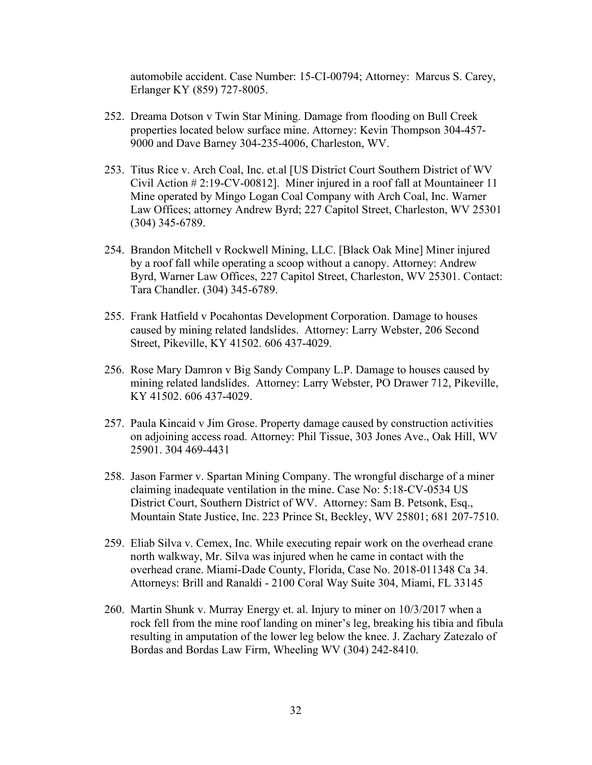automobile accident. Case Number: 15-CI-00794; Attorney: Marcus S. Carey, Erlanger KY (859) 727-8005.

- 252. Dreama Dotson v Twin Star Mining. Damage from flooding on Bull Creek properties located below surface mine. Attorney: Kevin Thompson 304-457- 9000 and Dave Barney 304-235-4006, Charleston, WV.
- 253. Titus Rice v. Arch Coal, Inc. et.al [US District Court Southern District of WV Civil Action # 2:19-CV-00812]. Miner injured in a roof fall at Mountaineer 11 Mine operated by Mingo Logan Coal Company with Arch Coal, Inc. Warner Law Offices; attorney Andrew Byrd; 227 Capitol Street, Charleston, WV 25301 (304) 345-6789.
- 254. Brandon Mitchell v Rockwell Mining, LLC. [Black Oak Mine] Miner injured by a roof fall while operating a scoop without a canopy. Attorney: Andrew Byrd, Warner Law Offices, 227 Capitol Street, Charleston, WV 25301. Contact: Tara Chandler. (304) 345-6789.
- 255. Frank Hatfield v Pocahontas Development Corporation. Damage to houses caused by mining related landslides. Attorney: Larry Webster, 206 Second Street, Pikeville, KY 41502. 606 437-4029.
- 256. Rose Mary Damron v Big Sandy Company L.P. Damage to houses caused by mining related landslides. Attorney: Larry Webster, PO Drawer 712, Pikeville, KY 41502. 606 437-4029.
- 257. Paula Kincaid v Jim Grose. Property damage caused by construction activities on adjoining access road. Attorney: Phil Tissue, 303 Jones Ave., Oak Hill, WV 25901. 304 469-4431
- 258. Jason Farmer v. Spartan Mining Company. The wrongful discharge of a miner claiming inadequate ventilation in the mine. Case No: 5:18-CV-0534 US District Court, Southern District of WV. Attorney: Sam B. Petsonk, Esq., Mountain State Justice, Inc. 223 Prince St, Beckley, WV 25801; 681 207-7510.
- 259. Eliab Silva v. Cemex, Inc. While executing repair work on the overhead crane north walkway, Mr. Silva was injured when he came in contact with the overhead crane. Miami-Dade County, Florida, Case No. 2018-011348 Ca 34. Attorneys: Brill and Ranaldi - 2100 Coral Way Suite 304, Miami, FL 33145
- 260. Martin Shunk v. Murray Energy et. al. Injury to miner on 10/3/2017 when a rock fell from the mine roof landing on miner's leg, breaking his tibia and fibula resulting in amputation of the lower leg below the knee. J. Zachary Zatezalo of Bordas and Bordas Law Firm, Wheeling WV (304) 242-8410.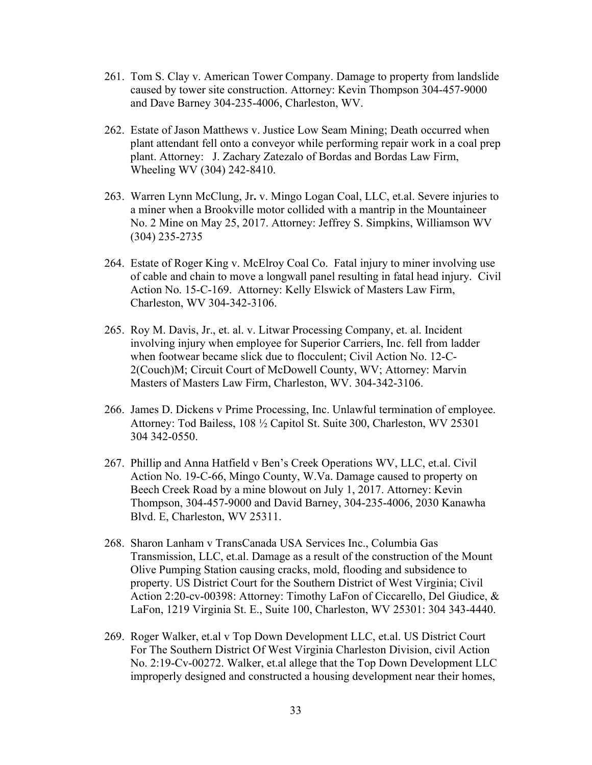- 261. Tom S. Clay v. American Tower Company. Damage to property from landslide caused by tower site construction. Attorney: Kevin Thompson 304-457-9000 and Dave Barney 304-235-4006, Charleston, WV.
- 262. Estate of Jason Matthews v. Justice Low Seam Mining; Death occurred when plant attendant fell onto a conveyor while performing repair work in a coal prep plant. Attorney: J. Zachary Zatezalo of Bordas and Bordas Law Firm, Wheeling WV (304) 242-8410.
- 263. Warren Lynn McClung, Jr. v. Mingo Logan Coal, LLC, et.al. Severe injuries to a miner when a Brookville motor collided with a mantrip in the Mountaineer No. 2 Mine on May 25, 2017. Attorney: Jeffrey S. Simpkins, Williamson WV (304) 235-2735
- 264. Estate of Roger King v. McElroy Coal Co. Fatal injury to miner involving use of cable and chain to move a longwall panel resulting in fatal head injury. Civil Action No. 15-C-169. Attorney: Kelly Elswick of Masters Law Firm, Charleston, WV 304-342-3106.
- 265. Roy M. Davis, Jr., et. al. v. Litwar Processing Company, et. al. Incident involving injury when employee for Superior Carriers, Inc. fell from ladder when footwear became slick due to flocculent; Civil Action No. 12-C-2(Couch)M; Circuit Court of McDowell County, WV; Attorney: Marvin Masters of Masters Law Firm, Charleston, WV. 304-342-3106.
- 266. James D. Dickens v Prime Processing, Inc. Unlawful termination of employee. Attorney: Tod Bailess, 108 ½ Capitol St. Suite 300, Charleston, WV 25301 304 342-0550.
- 267. Phillip and Anna Hatfield v Ben's Creek Operations WV, LLC, et.al. Civil Action No. 19-C-66, Mingo County, W.Va. Damage caused to property on Beech Creek Road by a mine blowout on July 1, 2017. Attorney: Kevin Thompson, 304-457-9000 and David Barney, 304-235-4006, 2030 Kanawha Blvd. E, Charleston, WV 25311.
- 268. Sharon Lanham v TransCanada USA Services Inc., Columbia Gas Transmission, LLC, et.al. Damage as a result of the construction of the Mount Olive Pumping Station causing cracks, mold, flooding and subsidence to property. US District Court for the Southern District of West Virginia; Civil Action 2:20-cv-00398: Attorney: Timothy LaFon of Ciccarello, Del Giudice, & LaFon, 1219 Virginia St. E., Suite 100, Charleston, WV 25301: 304 343-4440.
- 269. Roger Walker, et.al v Top Down Development LLC, et.al. US District Court For The Southern District Of West Virginia Charleston Division, civil Action No. 2:19-Cv-00272. Walker, et.al allege that the Top Down Development LLC improperly designed and constructed a housing development near their homes,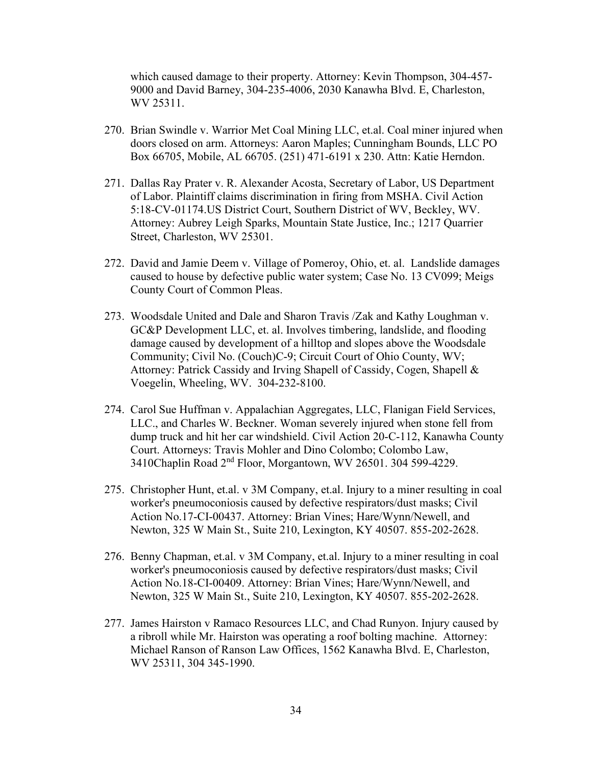which caused damage to their property. Attorney: Kevin Thompson, 304-457- 9000 and David Barney, 304-235-4006, 2030 Kanawha Blvd. E, Charleston, WV 25311.

- 270. Brian Swindle v. Warrior Met Coal Mining LLC, et.al. Coal miner injured when doors closed on arm. Attorneys: Aaron Maples; Cunningham Bounds, LLC PO Box 66705, Mobile, AL 66705. (251) 471-6191 x 230. Attn: Katie Herndon.
- 271. Dallas Ray Prater v. R. Alexander Acosta, Secretary of Labor, US Department of Labor. Plaintiff claims discrimination in firing from MSHA. Civil Action 5:18-CV-01174.US District Court, Southern District of WV, Beckley, WV. Attorney: Aubrey Leigh Sparks, Mountain State Justice, Inc.; 1217 Quarrier Street, Charleston, WV 25301.
- 272. David and Jamie Deem v. Village of Pomeroy, Ohio, et. al. Landslide damages caused to house by defective public water system; Case No. 13 CV099; Meigs County Court of Common Pleas.
- 273. Woodsdale United and Dale and Sharon Travis /Zak and Kathy Loughman v. GC&P Development LLC, et. al. Involves timbering, landslide, and flooding damage caused by development of a hilltop and slopes above the Woodsdale Community; Civil No. (Couch)C-9; Circuit Court of Ohio County, WV; Attorney: Patrick Cassidy and Irving Shapell of Cassidy, Cogen, Shapell & Voegelin, Wheeling, WV. 304-232-8100.
- 274. Carol Sue Huffman v. Appalachian Aggregates, LLC, Flanigan Field Services, LLC., and Charles W. Beckner. Woman severely injured when stone fell from dump truck and hit her car windshield. Civil Action 20-C-112, Kanawha County Court. Attorneys: Travis Mohler and Dino Colombo; Colombo Law, 3410Chaplin Road 2nd Floor, Morgantown, WV 26501. 304 599-4229.
- 275. Christopher Hunt, et.al. v 3M Company, et.al. Injury to a miner resulting in coal worker's pneumoconiosis caused by defective respirators/dust masks; Civil Action No.17-CI-00437. Attorney: Brian Vines; Hare/Wynn/Newell, and Newton, 325 W Main St., Suite 210, Lexington, KY 40507. 855-202-2628.
- 276. Benny Chapman, et.al. v 3M Company, et.al. Injury to a miner resulting in coal worker's pneumoconiosis caused by defective respirators/dust masks; Civil Action No.18-CI-00409. Attorney: Brian Vines; Hare/Wynn/Newell, and Newton, 325 W Main St., Suite 210, Lexington, KY 40507. 855-202-2628.
- 277. James Hairston v Ramaco Resources LLC, and Chad Runyon. Injury caused by a ribroll while Mr. Hairston was operating a roof bolting machine. Attorney: Michael Ranson of Ranson Law Offices, 1562 Kanawha Blvd. E, Charleston, WV 25311, 304 345-1990.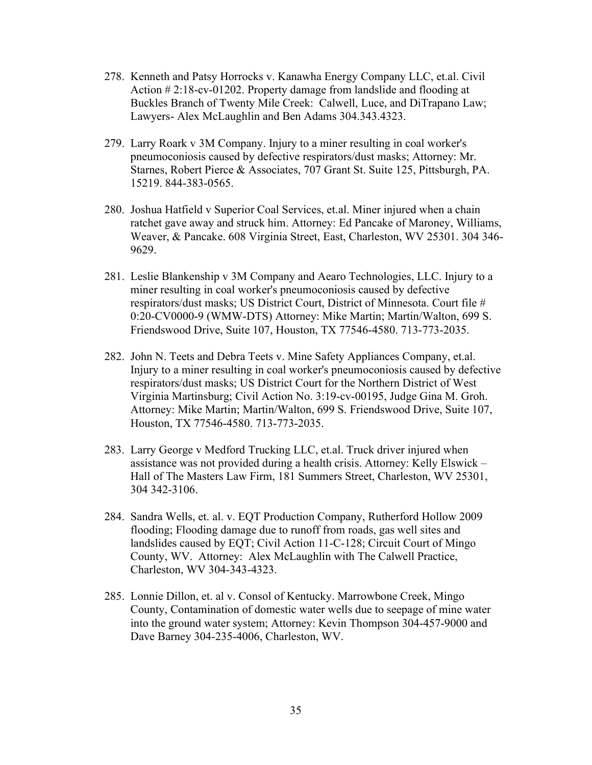- 278. Kenneth and Patsy Horrocks v. Kanawha Energy Company LLC, et.al. Civil Action # 2:18-cv-01202. Property damage from landslide and flooding at Buckles Branch of Twenty Mile Creek: Calwell, Luce, and DiTrapano Law; Lawyers- Alex McLaughlin and Ben Adams 304.343.4323.
- 279. Larry Roark v 3M Company. Injury to a miner resulting in coal worker's pneumoconiosis caused by defective respirators/dust masks; Attorney: Mr. Starnes, Robert Pierce & Associates, 707 Grant St. Suite 125, Pittsburgh, PA. 15219. 844-383-0565.
- 280. Joshua Hatfield v Superior Coal Services, et.al. Miner injured when a chain ratchet gave away and struck him. Attorney: Ed Pancake of Maroney, Williams, Weaver, & Pancake. 608 Virginia Street, East, Charleston, WV 25301. 304 346- 9629.
- 281. Leslie Blankenship v 3M Company and Aearo Technologies, LLC. Injury to a miner resulting in coal worker's pneumoconiosis caused by defective respirators/dust masks; US District Court, District of Minnesota. Court file # 0:20-CV0000-9 (WMW-DTS) Attorney: Mike Martin; Martin/Walton, 699 S. Friendswood Drive, Suite 107, Houston, TX 77546-4580. 713-773-2035.
- 282. John N. Teets and Debra Teets v. Mine Safety Appliances Company, et.al. Injury to a miner resulting in coal worker's pneumoconiosis caused by defective respirators/dust masks; US District Court for the Northern District of West Virginia Martinsburg; Civil Action No. 3:19-cv-00195, Judge Gina M. Groh. Attorney: Mike Martin; Martin/Walton, 699 S. Friendswood Drive, Suite 107, Houston, TX 77546-4580. 713-773-2035.
- 283. Larry George v Medford Trucking LLC, et.al. Truck driver injured when assistance was not provided during a health crisis. Attorney: Kelly Elswick – Hall of The Masters Law Firm, 181 Summers Street, Charleston, WV 25301, 304 342-3106.
- 284. Sandra Wells, et. al. v. EQT Production Company, Rutherford Hollow 2009 flooding; Flooding damage due to runoff from roads, gas well sites and landslides caused by EQT; Civil Action 11-C-128; Circuit Court of Mingo County, WV. Attorney: Alex McLaughlin with The Calwell Practice, Charleston, WV 304-343-4323.
- 285. Lonnie Dillon, et. al v. Consol of Kentucky. Marrowbone Creek, Mingo County, Contamination of domestic water wells due to seepage of mine water into the ground water system; Attorney: Kevin Thompson 304-457-9000 and Dave Barney 304-235-4006, Charleston, WV.